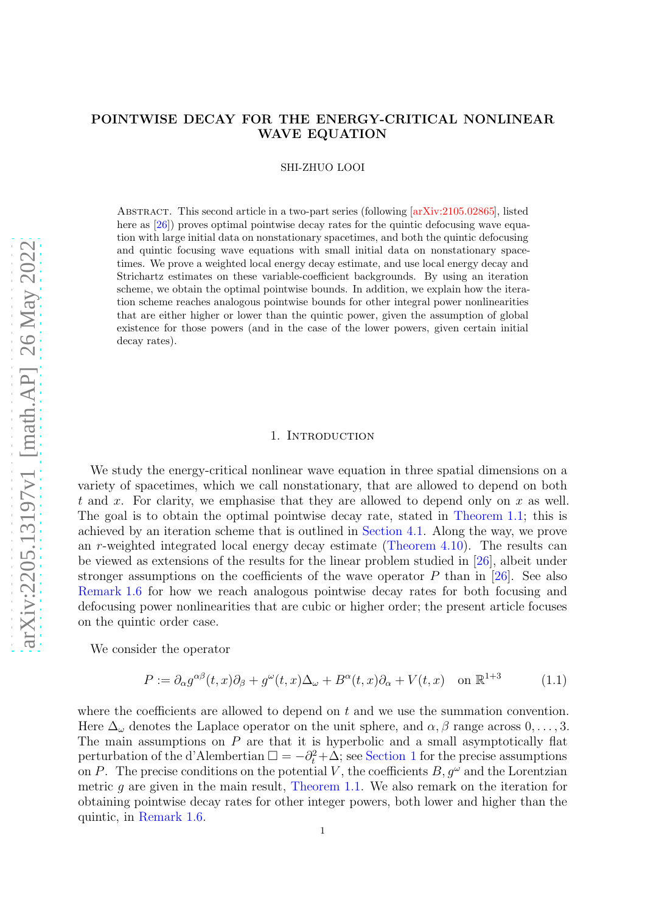### POINTWISE DECAY FOR THE ENERGY-CRITICAL NONLINEAR WAVE EQUATION

SHI-ZHUO LOOI

Abstract. This second article in a two-part series (following [\[arXiv:2105.02865\]](http://arxiv.org/abs/2105.02865), listed here as  $[26]$ ) proves optimal pointwise decay rates for the quintic defocusing wave equation with large initial data on nonstationary spacetimes, and both the quintic defocusing and quintic focusing wave equations with small initial data on nonstationary spacetimes. We prove a weighted local energy decay estimate, and use local energy decay and Strichartz estimates on these variable-coefficient backgrounds. By using an iteration scheme, we obtain the optimal pointwise bounds. In addition, we explain how the iteration scheme reaches analogous pointwise bounds for other integral power nonlinearities that are either higher or lower than the quintic power, given the assumption of global existence for those powers (and in the case of the lower powers, given certain initial decay rates).

### 1. INTRODUCTION

We study the energy-critical nonlinear wave equation in three spatial dimensions on a variety of spacetimes, which we call nonstationary, that are allowed to depend on both t and x. For clarity, we emphasise that they are allowed to depend only on x as well. The goal is to obtain the optimal pointwise decay rate, stated in [Theorem 1.1;](#page-2-0) this is achieved by an iteration scheme that is outlined in [Section 4.1.](#page-11-0) Along the way, we prove an r-weighted integrated local energy decay estimate [\(Theorem 4.10\)](#page-15-0). The results can be viewed as extensions of the results for the linear problem studied in [\[26\]](#page-25-0), albeit under stronger assumptions on the coefficients of the wave operator  $P$  than in [\[26\]](#page-25-0). See also [Remark 1.6](#page-6-0) for how we reach analogous pointwise decay rates for both focusing and defocusing power nonlinearities that are cubic or higher order; the present article focuses on the quintic order case.

We consider the operator

<span id="page-0-0"></span>
$$
P := \partial_{\alpha} g^{\alpha\beta}(t, x)\partial_{\beta} + g^{\omega}(t, x)\Delta_{\omega} + B^{\alpha}(t, x)\partial_{\alpha} + V(t, x) \quad \text{on } \mathbb{R}^{1+3}
$$
 (1.1)

where the coefficients are allowed to depend on  $t$  and we use the summation convention. Here  $\Delta_{\omega}$  denotes the Laplace operator on the unit sphere, and  $\alpha, \beta$  range across  $0, \ldots, 3$ . The main assumptions on  $P$  are that it is hyperbolic and a small asymptotically flat perturbation of the d'Alembertian  $\Box = -\partial_t^2 + \Delta$ ; see [Section 1](#page-2-1) for the precise assumptions on P. The precise conditions on the potential V, the coefficients  $B, g^{\omega}$  and the Lorentzian metric  $g$  are given in the main result, [Theorem 1.1.](#page-2-0) We also remark on the iteration for obtaining pointwise decay rates for other integer powers, both lower and higher than the quintic, in [Remark 1.6.](#page-6-0)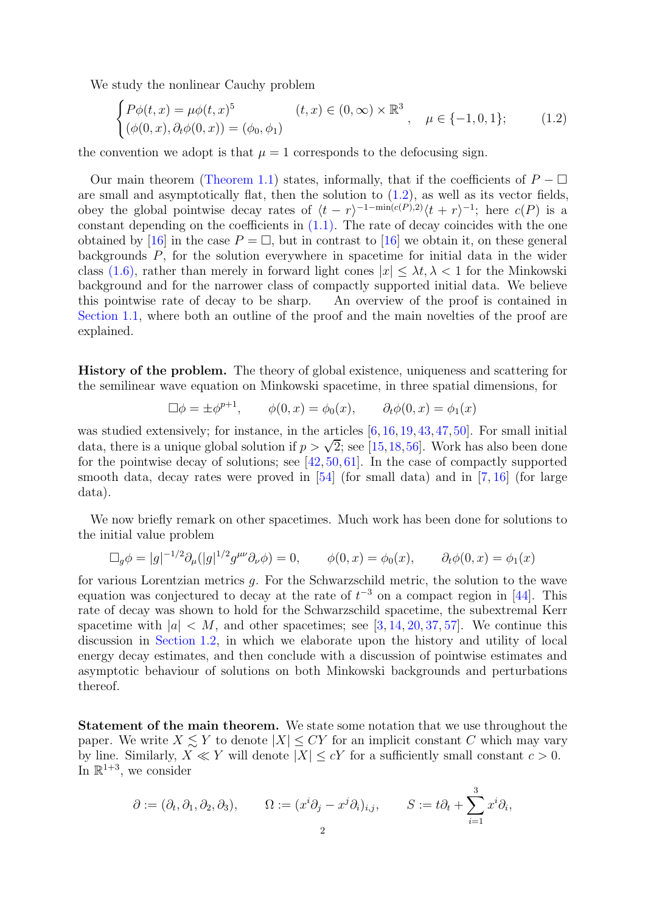We study the nonlinear Cauchy problem

<span id="page-1-0"></span>
$$
\begin{cases}\nP\phi(t,x) = \mu\phi(t,x)^5 & (t,x) \in (0,\infty) \times \mathbb{R}^3 \\
(\phi(0,x), \partial_t\phi(0,x)) = (\phi_0, \phi_1)\n\end{cases}
$$
\n
$$
\mu \in \{-1, 0, 1\};
$$
\n(1.2)

the convention we adopt is that  $\mu = 1$  corresponds to the defocusing sign.

Our main theorem [\(Theorem 1.1\)](#page-2-0) states, informally, that if the coefficients of  $P - \Box$ are small and asymptotically flat, then the solution to  $(1.2)$ , as well as its vector fields, obey the global pointwise decay rates of  $\langle t-r \rangle^{-1-\min(c(P),2)} \langle t+r \rangle^{-1}$ ; here  $c(P)$  is a constant depending on the coefficients in  $(1.1)$ . The rate of decay coincides with the one obtained by [\[16\]](#page-25-1) in the case  $P = \Box$ , but in contrast to [16] we obtain it, on these general backgrounds P, for the solution everywhere in spacetime for initial data in the wider class [\(1.6\),](#page-2-2) rather than merely in forward light cones  $|x| \leq \lambda t, \lambda < 1$  for the Minkowski background and for the narrower class of compactly supported initial data. We believe this pointwise rate of decay to be sharp. An overview of the proof is contained in [Section 1.1,](#page-3-0) where both an outline of the proof and the main novelties of the proof are explained.

History of the problem. The theory of global existence, uniqueness and scattering for the semilinear wave equation on Minkowski spacetime, in three spatial dimensions, for

$$
\Box \phi = \pm \phi^{p+1}, \qquad \phi(0, x) = \phi_0(x), \qquad \partial_t \phi(0, x) = \phi_1(x)
$$

was studied extensively; for instance, in the articles  $[6,16,19,43,47,50]$  $[6,16,19,43,47,50]$  $[6,16,19,43,47,50]$  $[6,16,19,43,47,50]$  $[6,16,19,43,47,50]$  $[6,16,19,43,47,50]$ . For small initial data, there is a unique global solution if  $p > \sqrt{2}$ ; see [\[15,](#page-25-3)[18,](#page-25-4)[56\]](#page-26-3). Work has also been done for the pointwise decay of solutions; see [\[42,](#page-26-4) [50,](#page-26-2) [61\]](#page-26-5). In the case of compactly supported smooth data, decay rates were proved in  $[54]$  (for small data) and in [\[7,](#page-24-1) [16\]](#page-25-1) (for large data).

We now briefly remark on other spacetimes. Much work has been done for solutions to the initial value problem

$$
\Box_g \phi = |g|^{-1/2} \partial_\mu (|g|^{1/2} g^{\mu\nu} \partial_\nu \phi) = 0, \qquad \phi(0, x) = \phi_0(x), \qquad \partial_t \phi(0, x) = \phi_1(x)
$$

for various Lorentzian metrics g. For the Schwarzschild metric, the solution to the wave equation was conjectured to decay at the rate of  $t^{-3}$  on a compact region in [\[44\]](#page-26-7). This rate of decay was shown to hold for the Schwarzschild spacetime, the subextremal Kerr spacetime with  $|a| < M$ , and other spacetimes; see [\[3,](#page-24-2) [14,](#page-25-5) [20,](#page-25-6) [37,](#page-25-7) [57\]](#page-26-8). We continue this discussion in [Section 1.2,](#page-5-0) in which we elaborate upon the history and utility of local energy decay estimates, and then conclude with a discussion of pointwise estimates and asymptotic behaviour of solutions on both Minkowski backgrounds and perturbations thereof.

Statement of the main theorem. We state some notation that we use throughout the paper. We write  $X \leq Y$  to denote  $|X| \leq CY$  for an implicit constant C which may vary by line. Similarly,  $X \ll Y$  will denote  $|X| \le cY$  for a sufficiently small constant  $c > 0$ . In  $\mathbb{R}^{1+3}$ , we consider

$$
\partial := (\partial_t, \partial_1, \partial_2, \partial_3),
$$
  $\Omega := (x^i \partial_j - x^j \partial_i)_{i,j},$   $S := t\partial_t + \sum_{i=1}^3 x^i \partial_i,$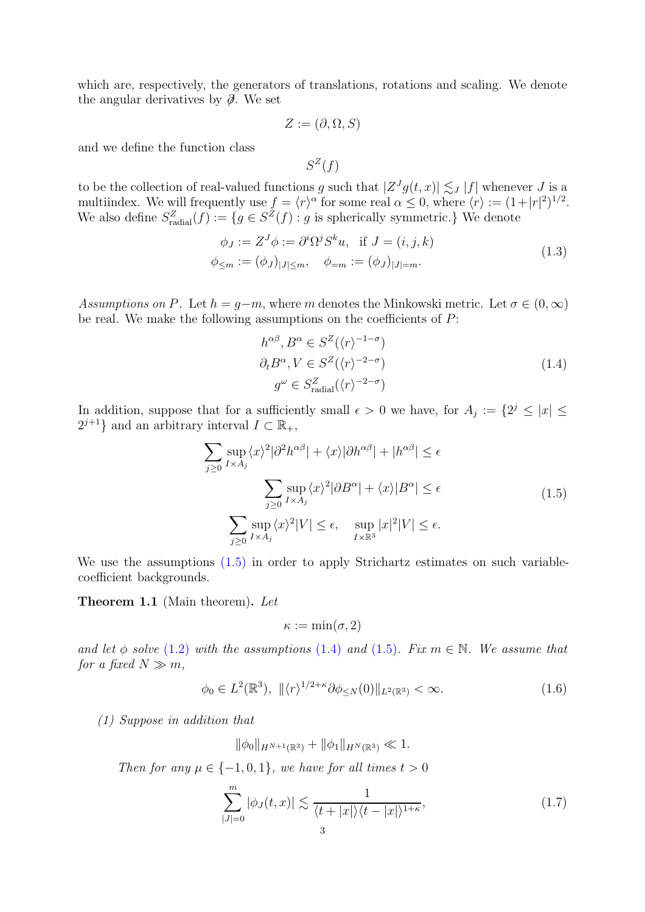which are, respectively, the generators of translations, rotations and scaling. We denote the angular derivatives by  $\partial$ . We set

$$
Z := (\partial, \Omega, S)
$$

and we define the function class

<span id="page-2-6"></span>
$$
S^Z(f)
$$

to be the collection of real-valued functions g such that  $|Z^{J}g(t,x)| \lesssim J |f|$  whenever  $J$  is a multiindex. We will frequently use  $f = \langle r \rangle^{\alpha}$  for some real  $\alpha \leq 0$ , where  $\langle r \rangle := (1+|r|^2)^{1/2}$ . We also define  $S_{\text{radial}}^Z(f) := \{ g \in S^Z(f) : g \text{ is spherically symmetric.} \}$  We denote

$$
\phi_J := Z^J \phi := \partial^i \Omega^j S^k u, \text{ if } J = (i, j, k) \n\phi_{\leq m} := (\phi_J)_{|J| \leq m}, \quad \phi_{=m} := (\phi_J)_{|J| = m}.
$$
\n(1.3)

<span id="page-2-1"></span>Assumptions on P. Let  $h = q-m$ , where m denotes the Minkowski metric. Let  $\sigma \in (0, \infty)$ be real. We make the following assumptions on the coefficients of  $P$ :

$$
h^{\alpha\beta}, B^{\alpha} \in S^{Z}(\langle r \rangle^{-1-\sigma})
$$
  
\n
$$
\partial_t B^{\alpha}, V \in S^{Z}(\langle r \rangle^{-2-\sigma})
$$
  
\n
$$
g^{\omega} \in S^Z_{\text{radial}}(\langle r \rangle^{-2-\sigma})
$$
\n(1.4)

<span id="page-2-4"></span>In addition, suppose that for a sufficiently small  $\epsilon > 0$  we have, for  $A_j := \{2^j \leq |x| \leq j \leq k\}$  $2^{j+1}$  and an arbitrary interval  $I \subset \mathbb{R}_+$ ,

$$
\sum_{j\geq 0} \sup_{I \times A_j} \langle x \rangle^2 |\partial^2 h^{\alpha \beta}| + \langle x \rangle |\partial h^{\alpha \beta}| + |h^{\alpha \beta}| \leq \epsilon
$$
\n
$$
\sum_{j\geq 0} \sup_{I \times A_j} \langle x \rangle^2 |\partial B^{\alpha}| + \langle x \rangle |B^{\alpha}| \leq \epsilon
$$
\n
$$
\sum_{j\geq 0} \sup_{I \times A_j} \langle x \rangle^2 |V| \leq \epsilon, \quad \sup_{I \times \mathbb{R}^3} |x|^2 |V| \leq \epsilon.
$$
\n(1.5)

<span id="page-2-0"></span>We use the assumptions  $(1.5)$  in order to apply Strichartz estimates on such variablecoefficient backgrounds.

Theorem 1.1 (Main theorem). Let

<span id="page-2-3"></span>
$$
\kappa := \min(\sigma, 2)
$$

and let  $\phi$  solve [\(1.2\)](#page-1-0) with the assumptions [\(1.4\)](#page-2-4) and [\(1.5\)](#page-2-3). Fix  $m \in \mathbb{N}$ . We assume that for a fixed  $N \gg m$ ,

<span id="page-2-2"></span>
$$
\phi_0 \in L^2(\mathbb{R}^3), \ \|\langle r \rangle^{1/2 + \kappa} \partial \phi_{\leq N}(0) \|_{L^2(\mathbb{R}^3)} < \infty. \tag{1.6}
$$

(1) Suppose in addition that

$$
\|\phi_0\|_{H^{N+1}(\mathbb{R}^3)} + \|\phi_1\|_{H^N(\mathbb{R}^3)} \ll 1.
$$

Then for any  $\mu \in \{-1, 0, 1\}$ , we have for all times  $t > 0$ 

<span id="page-2-5"></span>
$$
\sum_{|J|=0}^{m} |\phi_J(t,x)| \lesssim \frac{1}{\langle t+|x|\rangle \langle t-|x|\rangle^{1+\kappa}},\tag{1.7}
$$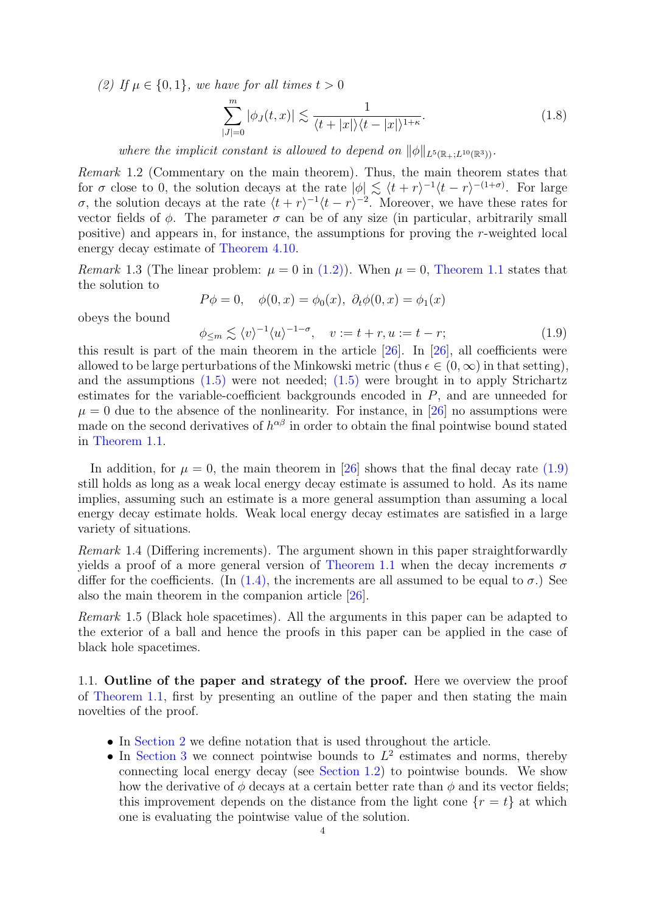<span id="page-3-3"></span>(2) If  $\mu \in \{0, 1\}$ , we have for all times  $t > 0$ 

<span id="page-3-2"></span>
$$
\sum_{|J|=0}^{m} |\phi_J(t,x)| \lesssim \frac{1}{\langle t+|x|\rangle \langle t-|x|\rangle^{1+\kappa}}.\tag{1.8}
$$

where the implicit constant is allowed to depend on  $\|\phi\|_{L^{5}(\mathbb{R}_{+};L^{10}(\mathbb{R}^3))}$ .

Remark 1.2 (Commentary on the main theorem). Thus, the main theorem states that for  $\sigma$  close to 0, the solution decays at the rate  $|\phi| \lesssim \langle t + r \rangle^{-1} \langle t - r \rangle^{-(1+\sigma)}$ . For large  $\sigma$ , the solution decays at the rate  $\langle t + r \rangle^{-1} \langle t - r \rangle^{-2}$ . Moreover, we have these rates for vector fields of  $\phi$ . The parameter  $\sigma$  can be of any size (in particular, arbitrarily small positive) and appears in, for instance, the assumptions for proving the r-weighted local energy decay estimate of [Theorem 4.10.](#page-15-0)

*Remark* 1.3 (The linear problem:  $\mu = 0$  in [\(1.2\)\)](#page-1-0). When  $\mu = 0$ , [Theorem 1.1](#page-2-0) states that the solution to

$$
P\phi = 0
$$
,  $\phi(0, x) = \phi_0(x)$ ,  $\partial_t \phi(0, x) = \phi_1(x)$ 

obeys the bound

<span id="page-3-1"></span>
$$
\phi_{\leq m} \lesssim \langle v \rangle^{-1} \langle u \rangle^{-1-\sigma}, \quad v := t+r, u := t-r; \tag{1.9}
$$

this result is part of the main theorem in the article [\[26\]](#page-25-0). In [\[26\]](#page-25-0), all coefficients were allowed to be large perturbations of the Minkowski metric (thus  $\epsilon \in (0,\infty)$  in that setting), and the assumptions  $(1.5)$  were not needed;  $(1.5)$  were brought in to apply Strichartz estimates for the variable-coefficient backgrounds encoded in P, and are unneeded for  $\mu = 0$  due to the absence of the nonlinearity. For instance, in [\[26\]](#page-25-0) no assumptions were made on the second derivatives of  $h^{\alpha\beta}$  in order to obtain the final pointwise bound stated in [Theorem 1.1.](#page-2-0)

In addition, for  $\mu = 0$ , the main theorem in [\[26\]](#page-25-0) shows that the final decay rate [\(1.9\)](#page-3-1) still holds as long as a weak local energy decay estimate is assumed to hold. As its name implies, assuming such an estimate is a more general assumption than assuming a local energy decay estimate holds. Weak local energy decay estimates are satisfied in a large variety of situations.

Remark 1.4 (Differing increments). The argument shown in this paper straightforwardly yields a proof of a more general version of [Theorem 1.1](#page-2-0) when the decay increments  $\sigma$ differ for the coefficients. (In  $(1.4)$ , the increments are all assumed to be equal to  $\sigma$ .) See also the main theorem in the companion article [\[26\]](#page-25-0).

Remark 1.5 (Black hole spacetimes). All the arguments in this paper can be adapted to the exterior of a ball and hence the proofs in this paper can be applied in the case of black hole spacetimes.

<span id="page-3-0"></span>1.1. Outline of the paper and strategy of the proof. Here we overview the proof of [Theorem 1.1,](#page-2-0) first by presenting an outline of the paper and then stating the main novelties of the proof.

- In [Section 2](#page-8-0) we define notation that is used throughout the article.
- In [Section 3](#page-9-0) we connect pointwise bounds to  $L^2$  estimates and norms, thereby connecting local energy decay (see [Section 1.2\)](#page-5-0) to pointwise bounds. We show how the derivative of  $\phi$  decays at a certain better rate than  $\phi$  and its vector fields; this improvement depends on the distance from the light cone  $\{r = t\}$  at which one is evaluating the pointwise value of the solution.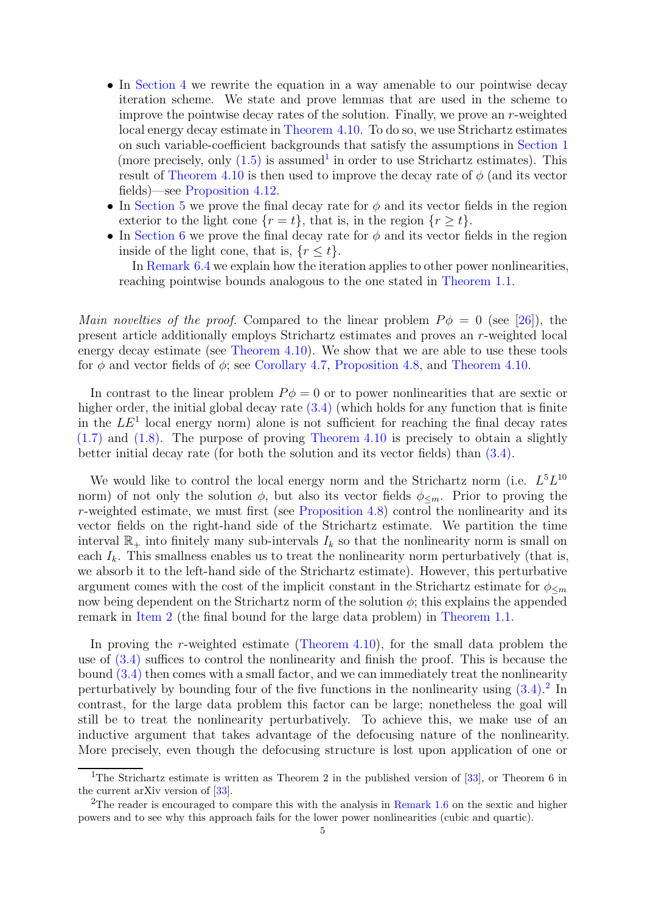- In [Section 4](#page-11-1) we rewrite the equation in a way amenable to our pointwise decay iteration scheme. We state and prove lemmas that are used in the scheme to improve the pointwise decay rates of the solution. Finally, we prove an r-weighted local energy decay estimate in [Theorem 4.10.](#page-15-0) To do so, we use Strichartz estimates on such variable-coefficient backgrounds that satisfy the assumptions in [Section 1](#page-2-1) (more precisely, only  $(1.5)$  is assumed<sup>[1](#page-4-0)</sup> in order to use Strichartz estimates). This result of [Theorem 4.10](#page-15-0) is then used to improve the decay rate of  $\phi$  (and its vector fields)—see [Proposition 4.12.](#page-19-0)
- In [Section 5](#page-20-0) we prove the final decay rate for  $\phi$  and its vector fields in the region exterior to the light cone  $\{r = t\}$ , that is, in the region  $\{r \geq t\}$ .
- In [Section 6](#page-22-0) we prove the final decay rate for  $\phi$  and its vector fields in the region inside of the light cone, that is,  ${r < t}$ .

In [Remark 6.4](#page-23-0) we explain how the iteration applies to other power nonlinearities, reaching pointwise bounds analogous to the one stated in [Theorem 1.1.](#page-2-0)

Main novelties of the proof. Compared to the linear problem  $P\phi = 0$  (see [\[26\]](#page-25-0)), the present article additionally employs Strichartz estimates and proves an r-weighted local energy decay estimate (see [Theorem 4.10\)](#page-15-0). We show that we are able to use these tools for  $\phi$  and vector fields of  $\phi$ ; see [Corollary 4.7,](#page-14-0) [Proposition 4.8,](#page-14-1) and [Theorem 4.10.](#page-15-0)

In contrast to the linear problem  $P\phi = 0$  or to power nonlinearities that are sextic or higher order, the initial global decay rate  $(3.4)$  (which holds for any function that is finite in the  $LE<sup>1</sup>$  local energy norm) alone is not sufficient for reaching the final decay rates [\(1.7\)](#page-2-5) and [\(1.8\).](#page-3-2) The purpose of proving [Theorem 4.10](#page-15-0) is precisely to obtain a slightly better initial decay rate (for both the solution and its vector fields) than [\(3.4\).](#page-10-0)

We would like to control the local energy norm and the Strichartz norm (i.e.  $L^5L^{10}$ norm) of not only the solution  $\phi$ , but also its vector fields  $\phi_{\leq m}$ . Prior to proving the r-weighted estimate, we must first (see [Proposition 4.8\)](#page-14-1) control the nonlinearity and its vector fields on the right-hand side of the Strichartz estimate. We partition the time interval  $\mathbb{R}_+$  into finitely many sub-intervals  $I_k$  so that the nonlinearity norm is small on each  $I_k$ . This smallness enables us to treat the nonlinearity norm perturbatively (that is, we absorb it to the left-hand side of the Strichartz estimate). However, this perturbative argument comes with the cost of the implicit constant in the Strichartz estimate for  $\phi_{\leq m}$ now being dependent on the Strichartz norm of the solution  $\phi$ ; this explains the appended remark in [Item 2](#page-3-3) (the final bound for the large data problem) in [Theorem 1.1.](#page-2-0)

In proving the r-weighted estimate (Theorem  $4.10$ ), for the small data problem the use of [\(3.4\)](#page-10-0) suffices to control the nonlinearity and finish the proof. This is because the bound [\(3.4\)](#page-10-0) then comes with a small factor, and we can immediately treat the nonlinearity perturbatively by bounding four of the five functions in the nonlinearity using  $(3.4)$ .<sup>[2](#page-4-1)</sup> In contrast, for the large data problem this factor can be large; nonetheless the goal will still be to treat the nonlinearity perturbatively. To achieve this, we make use of an inductive argument that takes advantage of the defocusing nature of the nonlinearity. More precisely, even though the defocusing structure is lost upon application of one or

<span id="page-4-0"></span><sup>&</sup>lt;sup>1</sup>The Strichartz estimate is written as Theorem 2 in the published version of [\[33\]](#page-25-8), or Theorem 6 in the current arXiv version of [\[33\]](#page-25-8).

<span id="page-4-1"></span><sup>&</sup>lt;sup>2</sup>The reader is encouraged to compare this with the analysis in [Remark 1.6](#page-6-0) on the sextic and higher powers and to see why this approach fails for the lower power nonlinearities (cubic and quartic).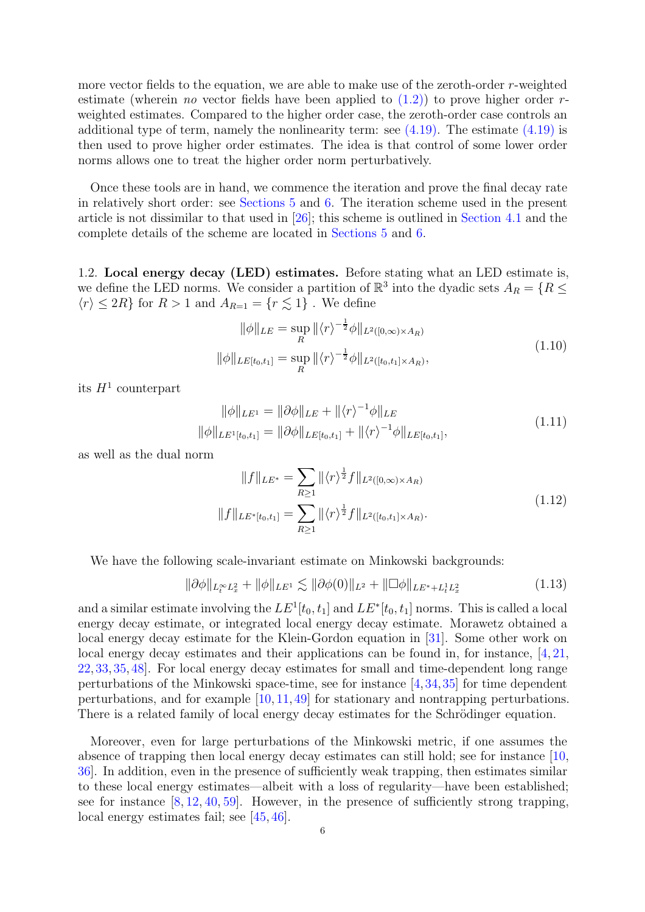more vector fields to the equation, we are able to make use of the zeroth-order r-weighted estimate (wherein *no* vector fields have been applied to  $(1.2)$ ) to prove higher order *r*weighted estimates. Compared to the higher order case, the zeroth-order case controls an additional type of term, namely the nonlinearity term: see  $(4.19)$ . The estimate  $(4.19)$  is then used to prove higher order estimates. The idea is that control of some lower order norms allows one to treat the higher order norm perturbatively.

Once these tools are in hand, we commence the iteration and prove the final decay rate in relatively short order: see [Sections 5](#page-20-0) and [6.](#page-22-0) The iteration scheme used in the present article is not dissimilar to that used in [\[26\]](#page-25-0); this scheme is outlined in [Section 4.1](#page-11-0) and the complete details of the scheme are located in [Sections 5](#page-20-0) and [6.](#page-22-0)

<span id="page-5-0"></span>1.2. Local energy decay (LED) estimates. Before stating what an LED estimate is, we define the LED norms. We consider a partition of  $\mathbb{R}^3$  into the dyadic sets  $A_R = \{R \leq$  $\langle r \rangle \leq 2R$  for  $R > 1$  and  $A_{R=1} = \{r \lesssim 1\}$ . We define

$$
\|\phi\|_{LE} = \sup_{R} \|\langle r \rangle^{-\frac{1}{2}} \phi\|_{L^{2}([0,\infty)\times A_{R})}
$$
  

$$
\|\phi\|_{LE[t_0,t_1]} = \sup_{R} \|\langle r \rangle^{-\frac{1}{2}} \phi\|_{L^{2}([t_0,t_1]\times A_{R})},
$$
\n(1.10)

its  $H^1$  counterpart

$$
\|\phi\|_{LE^1} = \|\partial\phi\|_{LE} + \|\langle r \rangle^{-1}\phi\|_{LE}
$$
  

$$
\|\phi\|_{LE^1[t_0, t_1]} = \|\partial\phi\|_{LE[t_0, t_1]} + \|\langle r \rangle^{-1}\phi\|_{LE[t_0, t_1]},
$$
\n(1.11)

as well as the dual norm

$$
||f||_{LE^*} = \sum_{R \ge 1} ||\langle r \rangle^{\frac{1}{2}} f||_{L^2([0,\infty) \times A_R)}
$$
  

$$
||f||_{LE^*[t_0,t_1]} = \sum_{R \ge 1} ||\langle r \rangle^{\frac{1}{2}} f||_{L^2([t_0,t_1] \times A_R)}.
$$
  
(1.12)

We have the following scale-invariant estimate on Minkowski backgrounds:

$$
\|\partial\phi\|_{L_t^\infty L_x^2} + \|\phi\|_{LE^1} \lesssim \|\partial\phi(0)\|_{L^2} + \|\Box\phi\|_{LE^* + L_t^1 L_x^2}
$$
\n(1.13)

and a similar estimate involving the  $LE^1[t_0, t_1]$  and  $LE^*[t_0, t_1]$  norms. This is called a local energy decay estimate, or integrated local energy decay estimate. Morawetz obtained a local energy decay estimate for the Klein-Gordon equation in [\[31\]](#page-25-9). Some other work on local energy decay estimates and their applications can be found in, for instance, [\[4,](#page-24-3) [21,](#page-25-10) [22,](#page-25-11) [33,](#page-25-8) [35,](#page-25-12) [48\]](#page-26-9). For local energy decay estimates for small and time-dependent long range perturbations of the Minkowski space-time, see for instance [\[4,](#page-24-3)[34,](#page-25-13)[35\]](#page-25-12) for time dependent perturbations, and for example [\[10,](#page-24-4) [11,](#page-25-14) [49\]](#page-26-10) for stationary and nontrapping perturbations. There is a related family of local energy decay estimates for the Schrödinger equation.

Moreover, even for large perturbations of the Minkowski metric, if one assumes the absence of trapping then local energy decay estimates can still hold; see for instance [\[10,](#page-24-4) [36\]](#page-25-15). In addition, even in the presence of sufficiently weak trapping, then estimates similar to these local energy estimates—albeit with a loss of regularity—have been established; see for instance  $[8, 12, 40, 59]$  $[8, 12, 40, 59]$  $[8, 12, 40, 59]$  $[8, 12, 40, 59]$  $[8, 12, 40, 59]$  $[8, 12, 40, 59]$ . However, in the presence of sufficiently strong trapping, local energy estimates fail; see [\[45,](#page-26-13) [46\]](#page-26-14).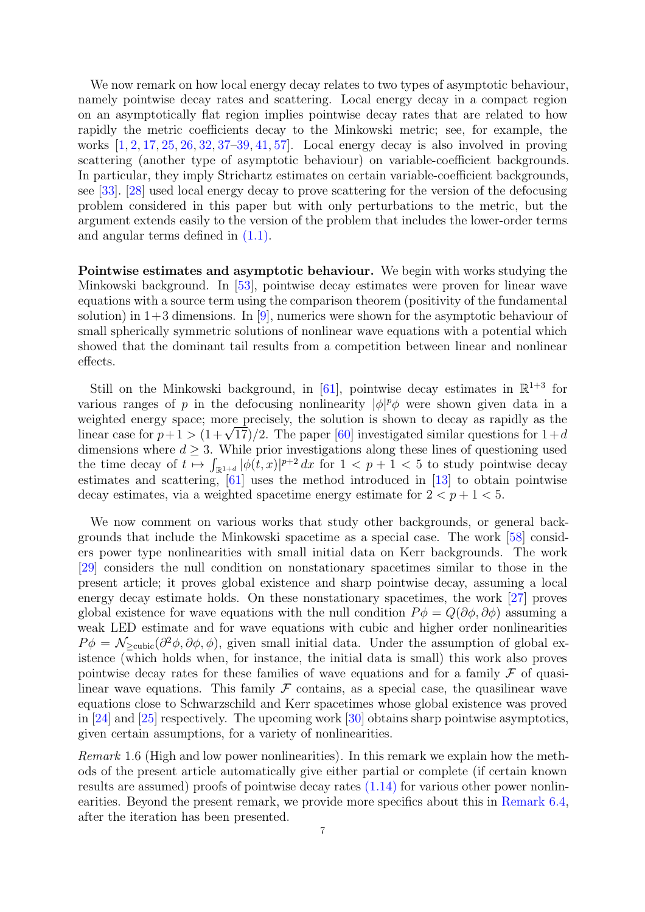We now remark on how local energy decay relates to two types of asymptotic behaviour, namely pointwise decay rates and scattering. Local energy decay in a compact region on an asymptotically flat region implies pointwise decay rates that are related to how rapidly the metric coefficients decay to the Minkowski metric; see, for example, the works  $\left[1, 2, 17, 25, 26, 32, 37, -39, 41, 57\right]$  $\left[1, 2, 17, 25, 26, 32, 37, -39, 41, 57\right]$  $\left[1, 2, 17, 25, 26, 32, 37, -39, 41, 57\right]$  $\left[1, 2, 17, 25, 26, 32, 37, -39, 41, 57\right]$  $\left[1, 2, 17, 25, 26, 32, 37, -39, 41, 57\right]$  $\left[1, 2, 17, 25, 26, 32, 37, -39, 41, 57\right]$  $\left[1, 2, 17, 25, 26, 32, 37, -39, 41, 57\right]$  $\left[1, 2, 17, 25, 26, 32, 37, -39, 41, 57\right]$  $\left[1, 2, 17, 25, 26, 32, 37, -39, 41, 57\right]$  $\left[1, 2, 17, 25, 26, 32, 37, -39, 41, 57\right]$  $\left[1, 2, 17, 25, 26, 32, 37, -39, 41, 57\right]$  $\left[1, 2, 17, 25, 26, 32, 37, -39, 41, 57\right]$  $\left[1, 2, 17, 25, 26, 32, 37, -39, 41, 57\right]$  $\left[1, 2, 17, 25, 26, 32, 37, -39, 41, 57\right]$  $\left[1, 2, 17, 25, 26, 32, 37, -39, 41, 57\right]$ . Local energy decay is also involved in proving scattering (another type of asymptotic behaviour) on variable-coefficient backgrounds. In particular, they imply Strichartz estimates on certain variable-coefficient backgrounds, see [\[33\]](#page-25-8). [\[28\]](#page-25-20) used local energy decay to prove scattering for the version of the defocusing problem considered in this paper but with only perturbations to the metric, but the argument extends easily to the version of the problem that includes the lower-order terms and angular terms defined in [\(1.1\).](#page-0-0)

Pointwise estimates and asymptotic behaviour. We begin with works studying the Minkowski background. In [\[53\]](#page-26-17), pointwise decay estimates were proven for linear wave equations with a source term using the comparison theorem (positivity of the fundamental solution) in  $1+3$  dimensions. In [\[9\]](#page-24-8), numerics were shown for the asymptotic behaviour of small spherically symmetric solutions of nonlinear wave equations with a potential which showed that the dominant tail results from a competition between linear and nonlinear effects.

Still on the Minkowski background, in [\[61\]](#page-26-5), pointwise decay estimates in  $\mathbb{R}^{1+3}$  for various ranges of p in the defocusing nonlinearity  $|\phi|^p \phi$  were shown given data in a weighted energy space; more precisely, the solution is shown to decay as rapidly as the linear case for  $p+1 > (1+\sqrt{17})/2$ . The paper [\[60\]](#page-26-18) investigated similar questions for  $1+d$ dimensions where  $d \geq 3$ . While prior investigations along these lines of questioning used the time decay of  $t \mapsto \int_{\mathbb{R}^{1+d}} |\phi(t,x)|^{p+2} dx$  for  $1 < p+1 < 5$  to study pointwise decay estimates and scattering, [\[61\]](#page-26-5) uses the method introduced in [\[13\]](#page-25-21) to obtain pointwise decay estimates, via a weighted spacetime energy estimate for  $2 < p + 1 < 5$ .

We now comment on various works that study other backgrounds, or general backgrounds that include the Minkowski spacetime as a special case. The work [\[58\]](#page-26-19) considers power type nonlinearities with small initial data on Kerr backgrounds. The work [\[29\]](#page-25-22) considers the null condition on nonstationary spacetimes similar to those in the present article; it proves global existence and sharp pointwise decay, assuming a local energy decay estimate holds. On these nonstationary spacetimes, the work [\[27\]](#page-25-23) proves global existence for wave equations with the null condition  $P\phi = Q(\partial \phi, \partial \phi)$  assuming a weak LED estimate and for wave equations with cubic and higher order nonlinearities  $P\phi = \mathcal{N}_{\geq \text{cubic}}(\partial^2 \phi, \partial \phi, \phi)$ , given small initial data. Under the assumption of global existence (which holds when, for instance, the initial data is small) this work also proves pointwise decay rates for these families of wave equations and for a family  $\mathcal F$  of quasilinear wave equations. This family  $\mathcal F$  contains, as a special case, the quasilinear wave equations close to Schwarzschild and Kerr spacetimes whose global existence was proved in [\[24\]](#page-25-24) and [\[25\]](#page-25-18) respectively. The upcoming work [\[30\]](#page-25-25) obtains sharp pointwise asymptotics, given certain assumptions, for a variety of nonlinearities.

<span id="page-6-0"></span>Remark 1.6 (High and low power nonlinearities). In this remark we explain how the methods of the present article automatically give either partial or complete (if certain known results are assumed) proofs of pointwise decay rates [\(1.14\)](#page-7-0) for various other power nonlinearities. Beyond the present remark, we provide more specifics about this in [Remark 6.4,](#page-23-0) after the iteration has been presented.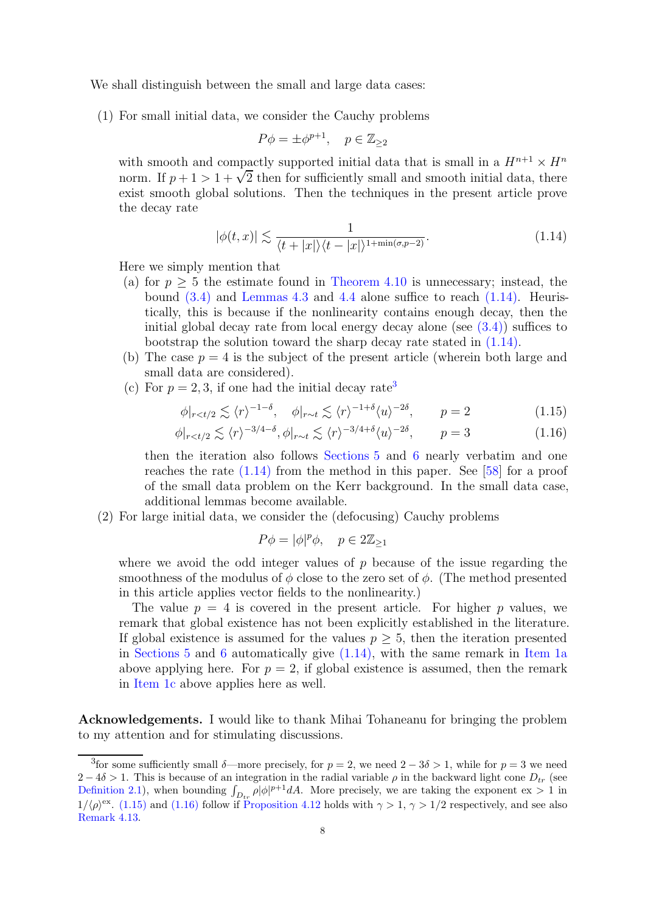We shall distinguish between the small and large data cases:

(1) For small initial data, we consider the Cauchy problems

$$
P\phi = \pm \phi^{p+1}, \quad p \in \mathbb{Z}_{\geq 2}
$$

with smooth and compactly supported initial data that is small in a  $H^{n+1} \times H^n$ norm. If  $p + 1 > 1 + \sqrt{2}$  then for sufficiently small and smooth initial data, there exist smooth global solutions. Then the techniques in the present article prove the decay rate

<span id="page-7-0"></span>
$$
|\phi(t,x)| \lesssim \frac{1}{\langle t+|x|\rangle\langle t-|x|\rangle^{1+\min(\sigma,p-2)}}.\tag{1.14}
$$

<span id="page-7-2"></span>Here we simply mention that

- (a) for  $p \geq 5$  the estimate found in [Theorem 4.10](#page-15-0) is unnecessary; instead, the bound  $(3.4)$  and [Lemmas 4.3](#page-13-0) and [4.4](#page-13-1) alone suffice to reach  $(1.14)$ . Heuristically, this is because if the nonlinearity contains enough decay, then the initial global decay rate from local energy decay alone (see  $(3.4)$ ) suffices to bootstrap the solution toward the sharp decay rate stated in  $(1.14)$ .
- (b) The case  $p = 4$  is the subject of the present article (wherein both large and small data are considered).
- <span id="page-7-3"></span>(c) For  $p = 2, 3$  $p = 2, 3$ , if one had the initial decay rate<sup>3</sup>

$$
\phi|_{r
$$

$$
\phi|_{r
$$

then the iteration also follows [Sections 5](#page-20-0) and [6](#page-22-0) nearly verbatim and one reaches the rate [\(1.14\)](#page-7-0) from the method in this paper. See [\[58\]](#page-26-19) for a proof of the small data problem on the Kerr background. In the small data case, additional lemmas become available.

(2) For large initial data, we consider the (defocusing) Cauchy problems

<span id="page-7-5"></span><span id="page-7-4"></span>
$$
P\phi = |\phi|^p \phi, \quad p \in 2\mathbb{Z}_{\geq 1}
$$

where we avoid the odd integer values of  $p$  because of the issue regarding the smoothness of the modulus of  $\phi$  close to the zero set of  $\phi$ . (The method presented in this article applies vector fields to the nonlinearity.)

The value  $p = 4$  is covered in the present article. For higher p values, we remark that global existence has not been explicitly established in the literature. If global existence is assumed for the values  $p \geq 5$ , then the iteration presented in [Sections 5](#page-20-0) and [6](#page-22-0) automatically give  $(1.14)$ , with the same remark in [Item 1a](#page-7-2) above applying here. For  $p = 2$ , if global existence is assumed, then the remark in [Item 1c](#page-7-3) above applies here as well.

Acknowledgements. I would like to thank Mihai Tohaneanu for bringing the problem to my attention and for stimulating discussions.

<span id="page-7-1"></span><sup>&</sup>lt;sup>3</sup> for some sufficiently small  $\delta$ —more precisely, for  $p = 2$ , we need  $2 - 3\delta > 1$ , while for  $p = 3$  we need  $2-4\delta > 1$ . This is because of an integration in the radial variable  $\rho$  in the backward light cone  $D_{tr}$  (see [Definition 2.1\)](#page-9-1), when bounding  $\int_{D_{tr}} \rho |\phi|^{p+1} dA$ . More precisely, we are taking the exponent ex > 1 in  $1/\langle \rho \rangle^{\text{ex}}$ . [\(1.15\)](#page-7-4) and [\(1.16\)](#page-7-5) follow if [Proposition 4.12](#page-19-0) holds with  $\gamma > 1$ ,  $\gamma > 1/2$  respectively, and see also [Remark 4.13.](#page-19-1)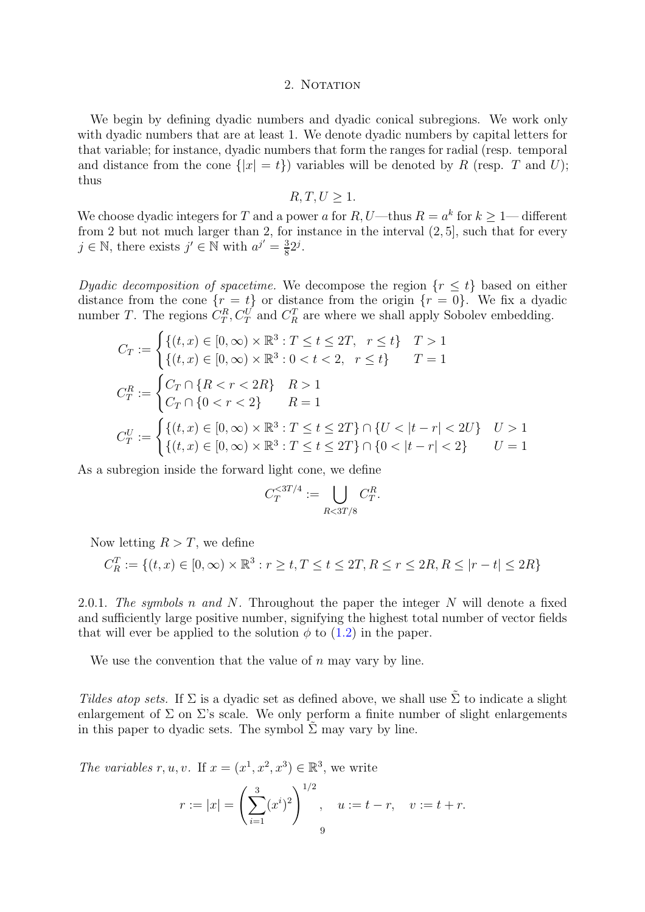### 2. NOTATION

<span id="page-8-0"></span>We begin by defining dyadic numbers and dyadic conical subregions. We work only with dyadic numbers that are at least 1. We denote dyadic numbers by capital letters for that variable; for instance, dyadic numbers that form the ranges for radial (resp. temporal and distance from the cone  $\{|x|=t\}$ ) variables will be denoted by R (resp. T and U); thus

 $R, T, U > 1.$ 

We choose dyadic integers for T and a power a for R, U—thus  $R = a^k$  for  $k \geq 1$ —different from 2 but not much larger than 2, for instance in the interval (2, 5], such that for every  $j \in \mathbb{N}$ , there exists  $j' \in \mathbb{N}$  with  $a^{j'} = \frac{3}{8}$  $\frac{3}{8}2^j$ .

Dyadic decomposition of spacetime. We decompose the region  $\{r \leq t\}$  based on either distance from the cone  $\{r = t\}$  or distance from the origin  $\{r = 0\}$ . We fix a dyadic number T. The regions  $C_T^R$ ,  $C_T^U$  and  $C_R^T$  are where we shall apply Sobolev embedding.

$$
C_T := \begin{cases} \{(t, x) \in [0, \infty) \times \mathbb{R}^3 : T \le t \le 2T, & r \le t\} & T > 1\\ \{(t, x) \in [0, \infty) \times \mathbb{R}^3 : 0 < t < 2, & r \le t\} & T = 1 \end{cases}
$$
  

$$
C_T^R := \begin{cases} C_T \cap \{R < r < 2R\} & R > 1\\ C_T \cap \{0 < r < 2\} & R = 1 \end{cases}
$$
  

$$
C_T^U := \begin{cases} \{(t, x) \in [0, \infty) \times \mathbb{R}^3 : T \le t \le 2T\} \cap \{U < |t - r| < 2U\} & U > 1\\ \{(t, x) \in [0, \infty) \times \mathbb{R}^3 : T \le t \le 2T\} \cap \{0 < |t - r| < 2\} & U = 1 \end{cases}
$$

As a subregion inside the forward light cone, we define

$$
C_T^{<3T/4} := \bigcup_{R<3T/8} C_T^R.
$$

Now letting  $R > T$ , we define

$$
C_R^T := \{ (t, x) \in [0, \infty) \times \mathbb{R}^3 : r \ge t, T \le t \le 2T, R \le r \le 2R, R \le |r - t| \le 2R \}
$$

<span id="page-8-1"></span>2.0.1. The symbols n and N. Throughout the paper the integer N will denote a fixed and sufficiently large positive number, signifying the highest total number of vector fields that will ever be applied to the solution  $\phi$  to [\(1.2\)](#page-1-0) in the paper.

We use the convention that the value of  $n$  may vary by line.

Tildes atop sets. If  $\Sigma$  is a dyadic set as defined above, we shall use  $\tilde{\Sigma}$  to indicate a slight enlargement of  $\Sigma$  on  $\Sigma$ 's scale. We only perform a finite number of slight enlargements in this paper to dyadic sets. The symbol  $\tilde{\Sigma}$  may vary by line.

The variables r, u, v. If  $x = (x^1, x^2, x^3) \in \mathbb{R}^3$ , we write

$$
r := |x| = \left(\sum_{i=1}^{3} (x^{i})^{2}\right)^{1/2}, \quad u := t - r, \quad v := t + r.
$$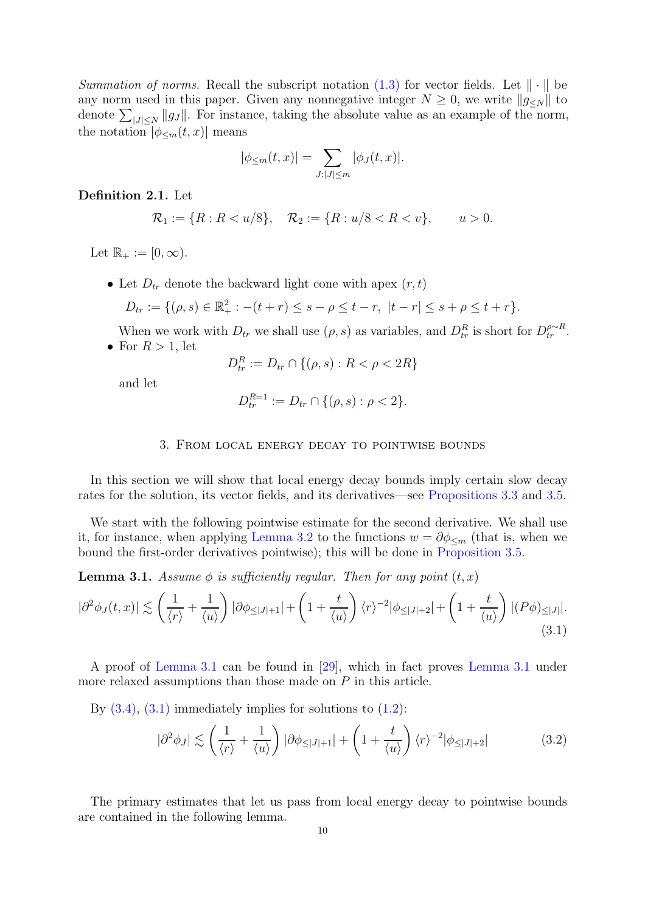Summation of norms. Recall the subscript notation  $(1.3)$  for vector fields. Let  $\|\cdot\|$  be any norm used in this paper. Given any nonnegative integer  $N \geq 0$ , we write  $||g_{\leq N}||$  to denote  $\sum_{|J| \le N} ||g_J||$ . For instance, taking the absolute value as an example of the norm, the notation  $|\phi_{\leq m}(t,x)|$  means

$$
|\phi_{\leq m}(t,x)| = \sum_{J:|J| \leq m} |\phi_J(t,x)|.
$$

<span id="page-9-1"></span>Definition 2.1. Let

$$
\mathcal{R}_1 := \{ R : R < u/8 \}, \quad \mathcal{R}_2 := \{ R : u/8 < R < v \}, \qquad u > 0.
$$

Let  $\mathbb{R}_+ := [0, \infty)$ .

• Let  $D_{tr}$  denote the backward light cone with apex  $(r, t)$ 

$$
D_{tr} := \{ (\rho, s) \in \mathbb{R}_+^2 : -(t + r) \le s - \rho \le t - r, \ |t - r| \le s + \rho \le t + r \}.
$$

When we work with  $D_{tr}$  we shall use  $(\rho, s)$  as variables, and  $D_{tr}^R$  is short for  $D_{tr}^{\rho \sim R}$ . • For  $R > 1$ , let

$$
D_{tr}^{R} := D_{tr} \cap \{(\rho, s) : R < \rho < 2R\}
$$

<span id="page-9-0"></span>and let

$$
D_{tr}^{R=1} := D_{tr} \cap \{(\rho, s) : \rho < 2\}.
$$

### 3. From local energy decay to pointwise bounds

In this section we will show that local energy decay bounds imply certain slow decay rates for the solution, its vector fields, and its derivatives—see [Propositions 3.3](#page-10-1) and [3.5.](#page-10-2)

We start with the following pointwise estimate for the second derivative. We shall use it, for instance, when applying [Lemma 3.2](#page-9-2) to the functions  $w = \partial \phi_{\leq m}$  (that is, when we bound the first-order derivatives pointwise); this will be done in [Proposition 3.5.](#page-10-2)

<span id="page-9-3"></span>**Lemma 3.1.** Assume  $\phi$  is sufficiently regular. Then for any point  $(t, x)$ 

<span id="page-9-4"></span>
$$
|\partial^2 \phi_J(t,x)| \lesssim \left(\frac{1}{\langle r \rangle} + \frac{1}{\langle u \rangle}\right) |\partial \phi_{\leq |J|+1}| + \left(1 + \frac{t}{\langle u \rangle}\right) \langle r \rangle^{-2} |\phi_{\leq |J|+2}| + \left(1 + \frac{t}{\langle u \rangle}\right) |(P\phi)_{\leq |J|}|.
$$
\n(3.1)

A proof of [Lemma 3.1](#page-9-3) can be found in [\[29\]](#page-25-22), which in fact proves [Lemma 3.1](#page-9-3) under more relaxed assumptions than those made on P in this article.

By  $(3.4)$ ,  $(3.1)$  immediately implies for solutions to  $(1.2)$ :

<span id="page-9-5"></span>
$$
|\partial^2 \phi_J| \lesssim \left(\frac{1}{\langle r \rangle} + \frac{1}{\langle u \rangle}\right) |\partial \phi_{\leq |J|+1}| + \left(1 + \frac{t}{\langle u \rangle}\right) \langle r \rangle^{-2} |\phi_{\leq |J|+2}| \tag{3.2}
$$

<span id="page-9-2"></span>The primary estimates that let us pass from local energy decay to pointwise bounds are contained in the following lemma.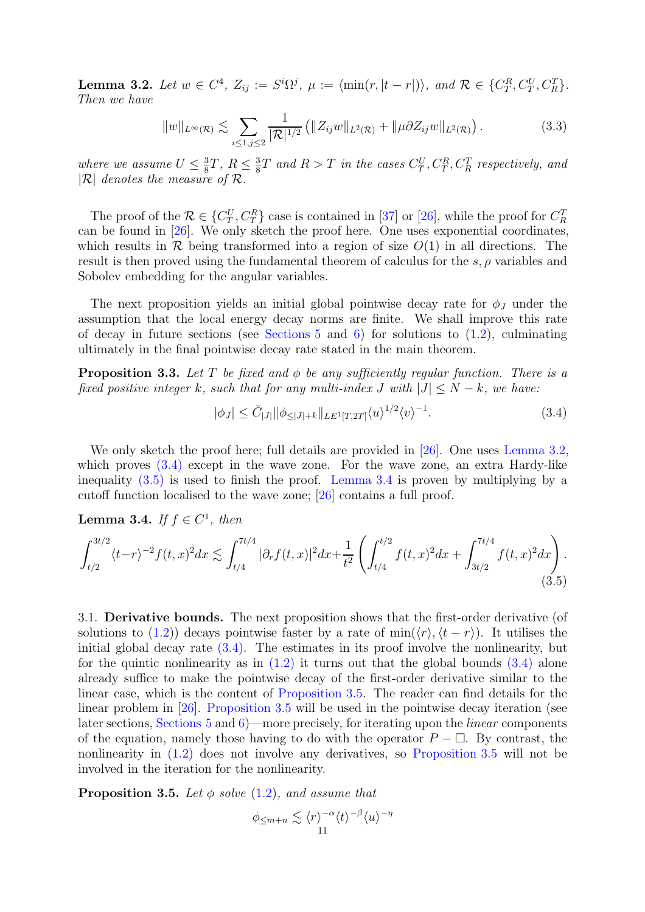**Lemma 3.2.** Let  $w \in C^4$ ,  $Z_{ij} := S^i \Omega^j$ ,  $\mu := \langle \min(r, |t-r|) \rangle$ , and  $\mathcal{R} \in \{C_T^R, C_T^U, C_R^T\}$ . Then we have

$$
||w||_{L^{\infty}(\mathcal{R})} \lesssim \sum_{i \leq 1, j \leq 2} \frac{1}{|\mathcal{R}|^{1/2}} \left( ||Z_{ij}w||_{L^{2}(\mathcal{R})} + ||\mu \partial Z_{ij}w||_{L^{2}(\mathcal{R})} \right).
$$
 (3.3)

where we assume  $U \leq \frac{3}{8}$  $\frac{3}{8}T, R \leq \frac{3}{8}$  $\frac{3}{8}T$  and  $R>T$  in the cases  $C_T^U, C_T^R, C_R^T$  respectively, and  $|\mathcal{R}|$  denotes the measure of  $\mathcal{R}$ .

The proof of the  $\mathcal{R} \in \{C_T^U, C_T^R\}$  case is contained in [\[37\]](#page-25-7) or [\[26\]](#page-25-0), while the proof for  $C_R^T$ can be found in [\[26\]](#page-25-0). We only sketch the proof here. One uses exponential coordinates, which results in  $\mathcal R$  being transformed into a region of size  $O(1)$  in all directions. The result is then proved using the fundamental theorem of calculus for the  $s, \rho$  variables and Sobolev embedding for the angular variables.

The next proposition yields an initial global pointwise decay rate for  $\phi_J$  under the assumption that the local energy decay norms are finite. We shall improve this rate of decay in future sections (see Sections  $5$  and  $6$ ) for solutions to  $(1.2)$ , culminating ultimately in the final pointwise decay rate stated in the main theorem.

<span id="page-10-1"></span>**Proposition 3.3.** Let T be fixed and  $\phi$  be any sufficiently regular function. There is a fixed positive integer k, such that for any multi-index J with  $|J| \leq N - k$ , we have:

<span id="page-10-0"></span>
$$
|\phi_J| \le \bar{C}_{|J|} \|\phi_{\leq |J|+k} \|_{LE^1[T,2T]} \langle u \rangle^{1/2} \langle v \rangle^{-1}.
$$
\n(3.4)

We only sketch the proof here; full details are provided in [\[26\]](#page-25-0). One uses [Lemma 3.2,](#page-9-2) which proves  $(3.4)$  except in the wave zone. For the wave zone, an extra Hardy-like inequality  $(3.5)$  is used to finish the proof. [Lemma 3.4](#page-10-4) is proven by multiplying by a cutoff function localised to the wave zone; [\[26\]](#page-25-0) contains a full proof.

<span id="page-10-4"></span>**Lemma 3.4.** If  $f \in C^1$ , then

<span id="page-10-3"></span>
$$
\int_{t/2}^{3t/2} \langle t-r \rangle^{-2} f(t,x)^2 dx \lesssim \int_{t/4}^{7t/4} |\partial_r f(t,x)|^2 dx + \frac{1}{t^2} \left( \int_{t/4}^{t/2} f(t,x)^2 dx + \int_{3t/2}^{7t/4} f(t,x)^2 dx \right). \tag{3.5}
$$

3.1. Derivative bounds. The next proposition shows that the first-order derivative (of solutions to [\(1.2\)](#page-1-0)) decays pointwise faster by a rate of min $(\langle r \rangle, \langle t - r \rangle)$ . It utilises the initial global decay rate [\(3.4\).](#page-10-0) The estimates in its proof involve the nonlinearity, but for the quintic nonlinearity as in  $(1.2)$  it turns out that the global bounds  $(3.4)$  alone already suffice to make the pointwise decay of the first-order derivative similar to the linear case, which is the content of [Proposition 3.5.](#page-10-2) The reader can find details for the linear problem in [\[26\]](#page-25-0). [Proposition 3.5](#page-10-2) will be used in the pointwise decay iteration (see later sections, Sections  $5$  and  $6$ )—more precisely, for iterating upon the *linear* components of the equation, namely those having to do with the operator  $P - \Box$ . By contrast, the nonlinearity in [\(1.2\)](#page-1-0) does not involve any derivatives, so [Proposition 3.5](#page-10-2) will not be involved in the iteration for the nonlinearity.

<span id="page-10-2"></span>**Proposition 3.5.** Let  $\phi$  solve [\(1.2\)](#page-1-0), and assume that

$$
\phi_{\leq m+n} \lesssim \langle r \rangle^{-\alpha} \langle t \rangle^{-\beta} \langle u \rangle^{-\eta}
$$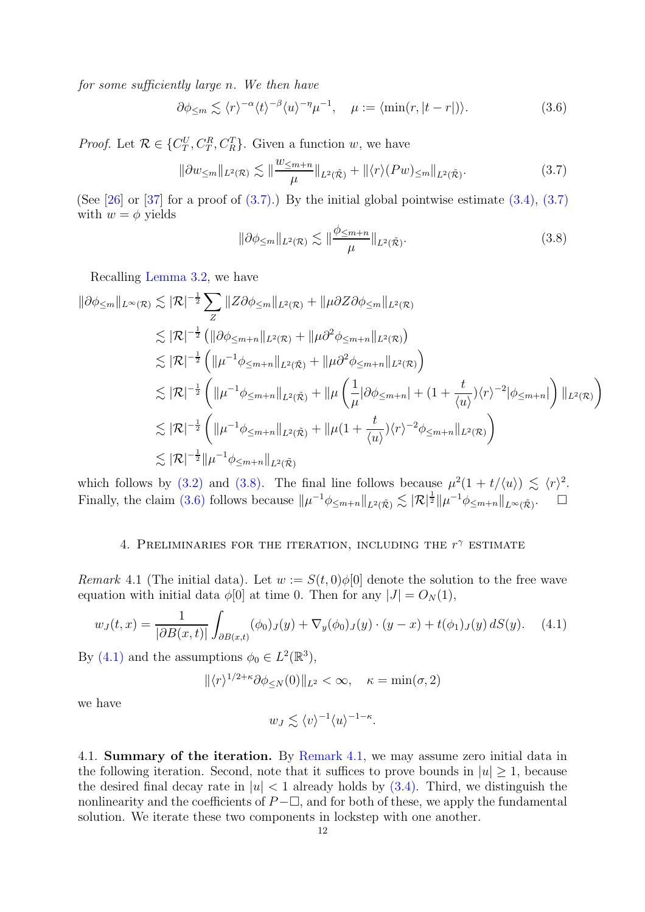for some sufficiently large n. We then have

<span id="page-11-4"></span>
$$
\partial \phi_{\leq m} \lesssim \langle r \rangle^{-\alpha} \langle t \rangle^{-\beta} \langle u \rangle^{-\eta} \mu^{-1}, \quad \mu := \langle \min(r, |t - r|) \rangle. \tag{3.6}
$$

*Proof.* Let  $\mathcal{R} \in \{C_T^U, C_T^R, C_R^T\}$ . Given a function w, we have

<span id="page-11-2"></span>
$$
\|\partial w_{\leq m}\|_{L^2(\mathcal{R})} \lesssim \|\frac{w_{\leq m+n}}{\mu}\|_{L^2(\tilde{\mathcal{R}})} + \|\langle r\rangle(Pw)_{\leq m}\|_{L^2(\tilde{\mathcal{R}})}.\tag{3.7}
$$

(See [\[26\]](#page-25-0) or [\[37\]](#page-25-7) for a proof of  $(3.7)$ .) By the initial global pointwise estimate  $(3.4)$ ,  $(3.7)$ with  $w = \phi$  yields

<span id="page-11-3"></span>
$$
\|\partial \phi_{\leq m}\|_{L^2(\mathcal{R})} \lesssim \|\frac{\phi_{\leq m+n}}{\mu}\|_{L^2(\tilde{\mathcal{R}})}.\tag{3.8}
$$

Recalling [Lemma 3.2,](#page-9-2) we have

$$
\|\partial\phi_{\leq m}\|_{L^{\infty}(\mathcal{R})} \lesssim |\mathcal{R}|^{-\frac{1}{2}} \sum_{Z} \|Z\partial\phi_{\leq m}\|_{L^{2}(\mathcal{R})} + \|\mu \partial Z\partial\phi_{\leq m}\|_{L^{2}(\mathcal{R})}
$$
  
\n
$$
\lesssim |\mathcal{R}|^{-\frac{1}{2}} \left( \|\partial\phi_{\leq m+n}\|_{L^{2}(\mathcal{R})} + \|\mu \partial^{2}\phi_{\leq m+n}\|_{L^{2}(\mathcal{R})} \right)
$$
  
\n
$$
\lesssim |\mathcal{R}|^{-\frac{1}{2}} \left( \|\mu^{-1}\phi_{\leq m+n}\|_{L^{2}(\tilde{\mathcal{R}})} + \|\mu \partial^{2}\phi_{\leq m+n}\|_{L^{2}(\mathcal{R})} \right)
$$
  
\n
$$
\lesssim |\mathcal{R}|^{-\frac{1}{2}} \left( \|\mu^{-1}\phi_{\leq m+n}\|_{L^{2}(\tilde{\mathcal{R}})} + \|\mu \left( \frac{1}{\mu} |\partial\phi_{\leq m+n}| + (1 + \frac{t}{\langle u \rangle}) \langle r \rangle^{-2} |\phi_{\leq m+n}| \right) \|_{L^{2}(\mathcal{R})} \right)
$$
  
\n
$$
\lesssim |\mathcal{R}|^{-\frac{1}{2}} \left( \|\mu^{-1}\phi_{\leq m+n}\|_{L^{2}(\tilde{\mathcal{R}})} + \|\mu (1 + \frac{t}{\langle u \rangle}) \langle r \rangle^{-2} \phi_{\leq m+n}\|_{L^{2}(\mathcal{R})} \right)
$$
  
\n
$$
\lesssim |\mathcal{R}|^{-\frac{1}{2}} \|\mu^{-1}\phi_{\leq m+n}\|_{L^{2}(\tilde{\mathcal{R}})}
$$

<span id="page-11-1"></span>which follows by [\(3.2\)](#page-9-5) and [\(3.8\).](#page-11-3) The final line follows because  $\mu^2(1 + t/\langle u \rangle) \lesssim \langle r \rangle^2$ . Finally, the claim [\(3.6\)](#page-11-4) follows because  $\|\mu^{-1}\phi_{\leq m+n}\|_{L^2(\tilde{\mathcal{R}})} \lesssim |\mathcal{R}|^{\frac{1}{2}} \|\mu^{-1}\phi_{\leq m+n}\|_{L^{\infty}(\tilde{\mathcal{R}})}$ .  $\square$ 

## 4. PRELIMINARIES FOR THE ITERATION, INCLUDING THE  $r^{\gamma}$  estimate

<span id="page-11-6"></span>Remark 4.1 (The initial data). Let  $w := S(t,0)\phi[0]$  denote the solution to the free wave equation with initial data  $\phi[0]$  at time 0. Then for any  $|J| = O<sub>N</sub>(1)$ ,

<span id="page-11-5"></span>
$$
w_J(t,x) = \frac{1}{|\partial B(x,t)|} \int_{\partial B(x,t)} (\phi_0)_J(y) + \nabla_y(\phi_0)_J(y) \cdot (y-x) + t(\phi_1)_J(y) \, dS(y). \tag{4.1}
$$

By [\(4.1\)](#page-11-5) and the assumptions  $\phi_0 \in L^2(\mathbb{R}^3)$ ,

 $\|\langle r\rangle^{1/2+\kappa}\partial\phi_{\leq N}(0)\|_{L^2}<\infty, \quad \kappa=\min(\sigma,2)$ 

we have

$$
w_J \lesssim \langle v \rangle^{-1} \langle u \rangle^{-1-\kappa}.
$$

<span id="page-11-0"></span>4.1. Summary of the iteration. By [Remark 4.1,](#page-11-6) we may assume zero initial data in the following iteration. Second, note that it suffices to prove bounds in  $|u| \geq 1$ , because the desired final decay rate in  $|u| < 1$  already holds by  $(3.4)$ . Third, we distinguish the nonlinearity and the coefficients of  $P-\Box$ , and for both of these, we apply the fundamental solution. We iterate these two components in lockstep with one another.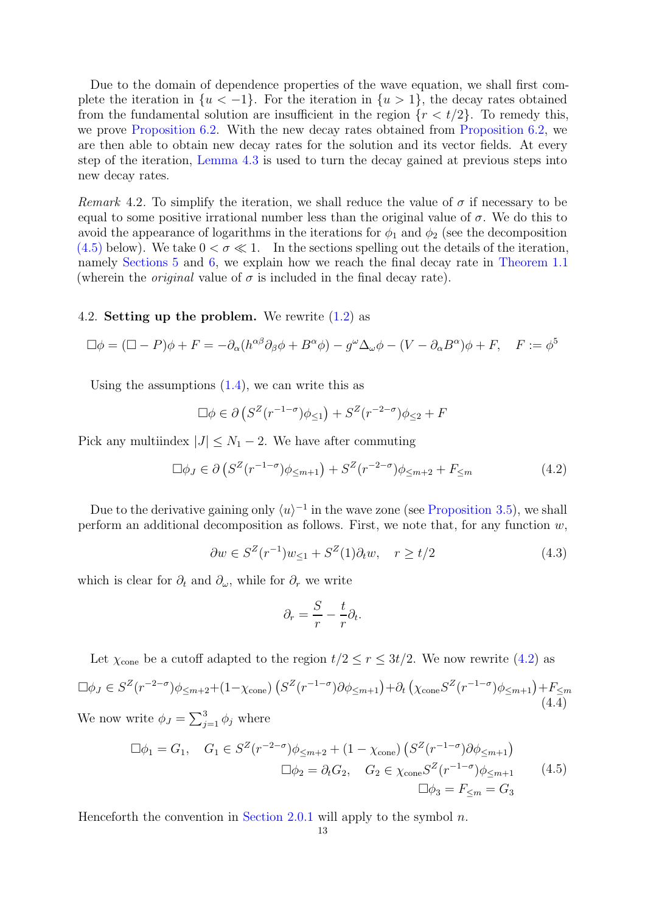Due to the domain of dependence properties of the wave equation, we shall first complete the iteration in  $\{u < -1\}$ . For the iteration in  $\{u > 1\}$ , the decay rates obtained from the fundamental solution are insufficient in the region  ${r < t/2}$ . To remedy this, we prove [Proposition 6.2.](#page-22-1) With the new decay rates obtained from [Proposition 6.2,](#page-22-1) we are then able to obtain new decay rates for the solution and its vector fields. At every step of the iteration, [Lemma 4.3](#page-13-0) is used to turn the decay gained at previous steps into new decay rates.

<span id="page-12-2"></span>Remark 4.2. To simplify the iteration, we shall reduce the value of  $\sigma$  if necessary to be equal to some positive irrational number less than the original value of σ. We do this to avoid the appearance of logarithms in the iterations for  $\phi_1$  and  $\phi_2$  (see the decomposition [\(4.5\)](#page-12-0) below). We take  $0 < \sigma \ll 1$ . In the sections spelling out the details of the iteration, namely [Sections 5](#page-20-0) and [6,](#page-22-0) we explain how we reach the final decay rate in [Theorem 1.1](#page-2-0) (wherein the *original* value of  $\sigma$  is included in the final decay rate).

### <span id="page-12-3"></span>4.2. Setting up the problem. We rewrite [\(1.2\)](#page-1-0) as

$$
\Box \phi = (\Box - P)\phi + F = -\partial_{\alpha}(h^{\alpha\beta}\partial_{\beta}\phi + B^{\alpha}\phi) - g^{\omega}\Delta_{\omega}\phi - (V - \partial_{\alpha}B^{\alpha})\phi + F, \quad F := \phi^{5}
$$

Using the assumptions  $(1.4)$ , we can write this as

$$
\Box \phi \in \partial \left( S^Z(r^{-1-\sigma})\phi_{\leq 1} \right) + S^Z(r^{-2-\sigma})\phi_{\leq 2} + F
$$

Pick any multiindex  $|J| \leq N_1 - 2$ . We have after commuting

<span id="page-12-1"></span>
$$
\Box \phi_J \in \partial \left( S^Z(r^{-1-\sigma})\phi_{\leq m+1} \right) + S^Z(r^{-2-\sigma})\phi_{\leq m+2} + F_{\leq m} \tag{4.2}
$$

Due to the derivative gaining only  $\langle u \rangle^{-1}$  in the wave zone (see [Proposition 3.5\)](#page-10-2), we shall perform an additional decomposition as follows. First, we note that, for any function  $w$ ,

$$
\partial w \in S^Z(r^{-1})w_{\leq 1} + S^Z(1)\partial_t w, \quad r \geq t/2 \tag{4.3}
$$

which is clear for  $\partial_t$  and  $\partial_\omega$ , while for  $\partial_r$  we write

$$
\partial_r = \frac{S}{r} - \frac{t}{r} \partial_t.
$$

Let  $\chi_{\text{cone}}$  be a cutoff adapted to the region  $t/2 \le r \le 3t/2$ . We now rewrite [\(4.2\)](#page-12-1) as  $\Box \phi_J \in S^Z(r^{-2-\sigma})\phi_{\leq m+2}+(1-\chi_{\text{cone}})\left(S^Z(r^{-1-\sigma})\partial \phi_{\leq m+1}\right)+\partial_t \left(\chi_{\text{cone}}S^Z(r^{-1-\sigma})\phi_{\leq m+1}\right)+F_{\leq m+2}$ (4.4) We now write  $\phi_J = \sum_{j=1}^3 \phi_j$  where

$$
\Box \phi_1 = G_1, \quad G_1 \in S^Z(r^{-2-\sigma})\phi_{\leq m+2} + (1 - \chi_{\text{cone}}) \left( S^Z(r^{-1-\sigma}) \partial \phi_{\leq m+1} \right)
$$

$$
\Box \phi_2 = \partial_t G_2, \quad G_2 \in \chi_{\text{cone}} S^Z(r^{-1-\sigma})\phi_{\leq m+1} \qquad (4.5)
$$

$$
\Box \phi_3 = F_{\leq m} = G_3
$$

<span id="page-12-0"></span>Henceforth the convention in [Section 2.0.1](#page-8-1) will apply to the symbol  $n$ .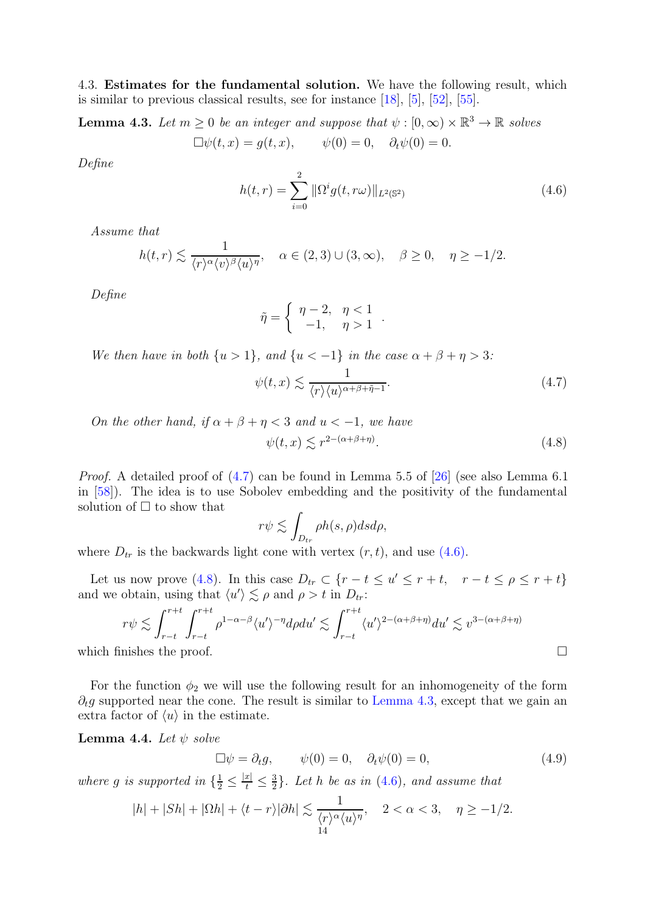<span id="page-13-5"></span><span id="page-13-0"></span>4.3. Estimates for the fundamental solution. We have the following result, which is similar to previous classical results, see for instance [\[18\]](#page-25-4), [\[5\]](#page-24-9), [\[52\]](#page-26-20), [\[55\]](#page-26-21).

**Lemma 4.3.** Let  $m \geq 0$  be an integer and suppose that  $\psi : [0, \infty) \times \mathbb{R}^3 \to \mathbb{R}$  solves

$$
\Box \psi(t, x) = g(t, x), \qquad \psi(0) = 0, \quad \partial_t \psi(0) = 0.
$$

Define

<span id="page-13-3"></span>
$$
h(t,r) = \sum_{i=0}^{2} \|\Omega^{i}g(t,r\omega)\|_{L^{2}(\mathbb{S}^{2})}
$$
\n(4.6)

Assume that

$$
h(t,r) \lesssim \frac{1}{\langle r \rangle^{\alpha} \langle v \rangle^{\beta} \langle u \rangle^{\eta}}, \quad \alpha \in (2,3) \cup (3,\infty), \quad \beta \ge 0, \quad \eta \ge -1/2.
$$

Define

$$
\tilde{\eta} = \begin{cases} \eta - 2, & \eta < 1 \\ -1, & \eta > 1 \end{cases}.
$$

We then have in both  $\{u > 1\}$ , and  $\{u < -1\}$  in the case  $\alpha + \beta + \eta > 3$ :

<span id="page-13-4"></span><span id="page-13-2"></span>
$$
\psi(t,x) \lesssim \frac{1}{\langle r \rangle \langle u \rangle^{\alpha+\beta+\tilde{\eta}-1}}.\tag{4.7}
$$

 $(4.8)$ 

On the other hand, if  $\alpha + \beta + \eta < 3$  and  $u < -1$ , we have  $\psi(t,x) \lesssim r^{2-(\alpha+\beta+\eta)}$ 

Proof. A detailed proof of [\(4.7\)](#page-13-2) can be found in Lemma 5.5 of [\[26\]](#page-25-0) (see also Lemma 6.1 in [\[58\]](#page-26-19)). The idea is to use Sobolev embedding and the positivity of the fundamental solution of  $\Box$  to show that

$$
r\psi \lesssim \int_{D_{tr}} \rho h(s,\rho) ds d\rho,
$$

where  $D_{tr}$  is the backwards light cone with vertex  $(r, t)$ , and use  $(4.6)$ .

Let us now prove [\(4.8\)](#page-13-4). In this case  $D_{tr} \subset \{r - t \leq u' \leq r + t, \quad r - t \leq \rho \leq r + t\}$ and we obtain, using that  $\langle u' \rangle \lesssim \rho$  and  $\rho > t$  in  $D_{tr}$ :

$$
r\psi \lesssim \int_{r-t}^{r+t} \int_{r-t}^{r+t} \rho^{1-\alpha-\beta} \langle u' \rangle^{-\eta} d\rho du' \lesssim \int_{r-t}^{r+t} \langle u' \rangle^{2-(\alpha+\beta+\eta)} du' \lesssim v^{3-(\alpha+\beta+\eta)}
$$
  
which finishes the proof.

For the function  $\phi_2$  we will use the following result for an inhomogeneity of the form  $\partial_t g$  supported near the cone. The result is similar to [Lemma 4.3,](#page-13-0) except that we gain an extra factor of  $\langle u \rangle$  in the estimate.

<span id="page-13-1"></span>**Lemma 4.4.** Let  $\psi$  solve

$$
\Box \psi = \partial_t g, \qquad \psi(0) = 0, \quad \partial_t \psi(0) = 0,
$$
\n(4.9)

where g is supported in  $\{\frac{1}{2} \leq \frac{|x|}{t} \leq \frac{3}{2}\}$  $\frac{3}{2}$ . Let h be as in  $(4.6)$ , and assume that

$$
|h|+|Sh|+|\Omega h|+\langle t-r\rangle|\partial h|\lesssim \frac{1}{\langle r\rangle^{\alpha}\langle u\rangle^{\eta}},\quad 2<\alpha<3,\quad \eta\geq -1/2.
$$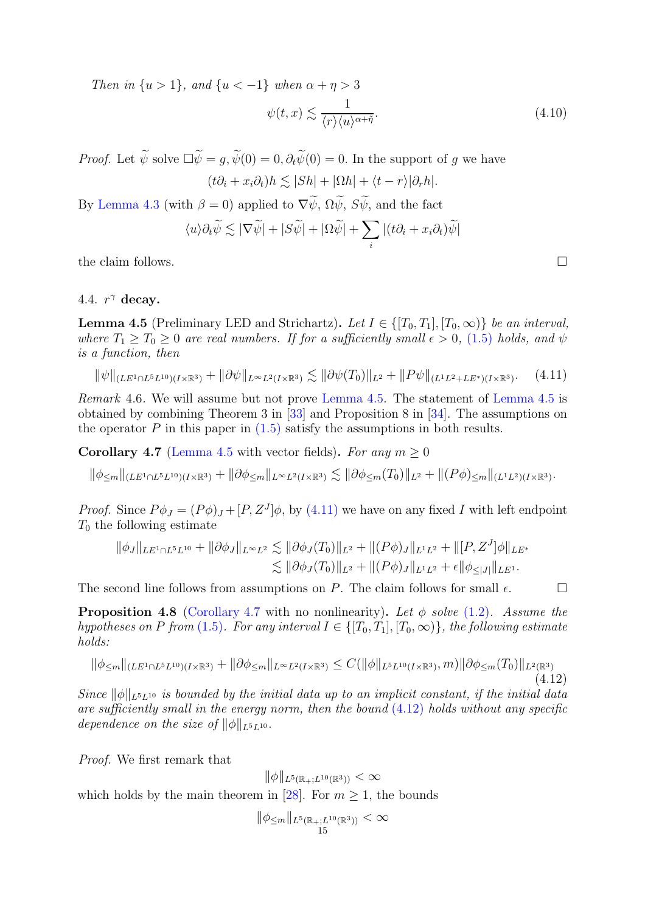Then in  $\{u > 1\}$ , and  $\{u < -1\}$  when  $\alpha + \eta > 3$ 

<span id="page-14-5"></span>
$$
\psi(t,x) \lesssim \frac{1}{\langle r \rangle \langle u \rangle^{\alpha + \tilde{\eta}}}.\tag{4.10}
$$

*Proof.* Let  $\widetilde{\psi}$  solve  $\Box \widetilde{\psi} = g$ ,  $\widetilde{\psi}(0) = 0$ ,  $\partial_t \widetilde{\psi}(0) = 0$ . In the support of g we have

$$
(t\partial_i + x_i\partial_t)h \lesssim |Sh| + |\Omega h| + \langle t - r \rangle |\partial_r h|.
$$

By [Lemma 4.3](#page-13-0) (with  $\beta = 0$ ) applied to  $\nabla \widetilde{\psi}$ ,  $\Omega \widetilde{\psi}$ ,  $S \widetilde{\psi}$ , and the fact

$$
\langle u \rangle \partial_t \widetilde{\psi} \lesssim |\nabla \widetilde{\psi}| + |S\widetilde{\psi}| + |\Omega \widetilde{\psi}| + \sum_i |(t\partial_i + x_i \partial_t)\widetilde{\psi}|
$$

the claim follows.  $\Box$ 

## <span id="page-14-2"></span>4.4.  $r^{\gamma}$  decay.

**Lemma 4.5** (Preliminary LED and Strichartz). Let  $I \in \{[T_0, T_1], [T_0, \infty)\}\$  be an interval, where  $T_1 \geq T_0 \geq 0$  are real numbers. If for a sufficiently small  $\epsilon > 0$ , [\(1.5\)](#page-2-3) holds, and  $\psi$ is a function, then

<span id="page-14-3"></span>
$$
\|\psi\|_{(LE^1 \cap L^5 L^{10})(I \times \mathbb{R}^3)} + \|\partial \psi\|_{L^\infty L^2(I \times \mathbb{R}^3)} \lesssim \|\partial \psi(T_0)\|_{L^2} + \|P\psi\|_{(L^1 L^2 + L E^*)(I \times \mathbb{R}^3)}.\tag{4.11}
$$

Remark 4.6. We will assume but not prove [Lemma 4.5.](#page-14-2) The statement of [Lemma 4.5](#page-14-2) is obtained by combining Theorem 3 in [\[33\]](#page-25-8) and Proposition 8 in [\[34\]](#page-25-13). The assumptions on the operator  $P$  in this paper in  $(1.5)$  satisfy the assumptions in both results.

<span id="page-14-0"></span>**Corollary 4.7** [\(Lemma 4.5](#page-14-2) with vector fields). For any  $m \geq 0$ 

$$
\|\phi_{\leq m}\|_{(LE^1 \cap L^5 L^{10})(I \times \mathbb{R}^3)} + \|\partial \phi_{\leq m}\|_{L^\infty L^2(I \times \mathbb{R}^3)} \lesssim \|\partial \phi_{\leq m}(T_0)\|_{L^2} + \|(P\phi)_{\leq m}\|_{(L^1 L^2)(I \times \mathbb{R}^3)}.
$$

*Proof.* Since  $P\phi_J = (P\phi)_J + [P, Z^J]\phi$ , by [\(4.11\)](#page-14-3) we have on any fixed I with left endpoint  $T_0$  the following estimate

$$
\|\phi_J\|_{LE^1 \cap L^5 L^{10}} + \|\partial \phi_J\|_{L^\infty L^2} \lesssim \|\partial \phi_J(T_0)\|_{L^2} + \|(P\phi_J)\|_{L^1 L^2} + \|[P, Z^J]\phi\|_{LE^*} \lesssim \|\partial \phi_J(T_0)\|_{L^2} + \|(P\phi_J)\|_{L^1 L^2} + \epsilon \|\phi_{\leq |J|}\|_{LE^1}.
$$

<span id="page-14-1"></span>The second line follows from assumptions on P. The claim follows for small  $\epsilon$ .

**Proposition 4.8** [\(Corollary 4.7](#page-14-0) with no nonlinearity). Let  $\phi$  solve [\(1.2\)](#page-1-0). Assume the hypotheses on P from [\(1.5\)](#page-2-3). For any interval  $I \in \{[T_0, T_1], [T_0, \infty)\}\$ , the following estimate holds:

<span id="page-14-4"></span>
$$
\|\phi_{\leq m}\|_{(LE^1 \cap L^5 L^{10})(I \times \mathbb{R}^3)} + \|\partial \phi_{\leq m}\|_{L^\infty L^2(I \times \mathbb{R}^3)} \leq C(\|\phi\|_{L^5 L^{10}(I \times \mathbb{R}^3)}, m)\|\partial \phi_{\leq m}(T_0)\|_{L^2(\mathbb{R}^3)}\tag{4.12}
$$

Since  $\|\phi\|_{L^5L^{10}}$  is bounded by the initial data up to an implicit constant, if the initial data are sufficiently small in the energy norm, then the bound  $(4.12)$  holds without any specific dependence on the size of  $\|\phi\|_{L^5L^{10}}$ .

Proof. We first remark that

$$
\|\phi\|_{L^5(\mathbb{R}_+;L^{10}(\mathbb{R}^3))}<\infty
$$

which holds by the main theorem in [\[28\]](#page-25-20). For  $m \geq 1$ , the bounds

$$
\|\phi_{\leq m}\|_{L^5(\mathbb{R}_+;L^{10}(\mathbb{R}^3))} < \infty
$$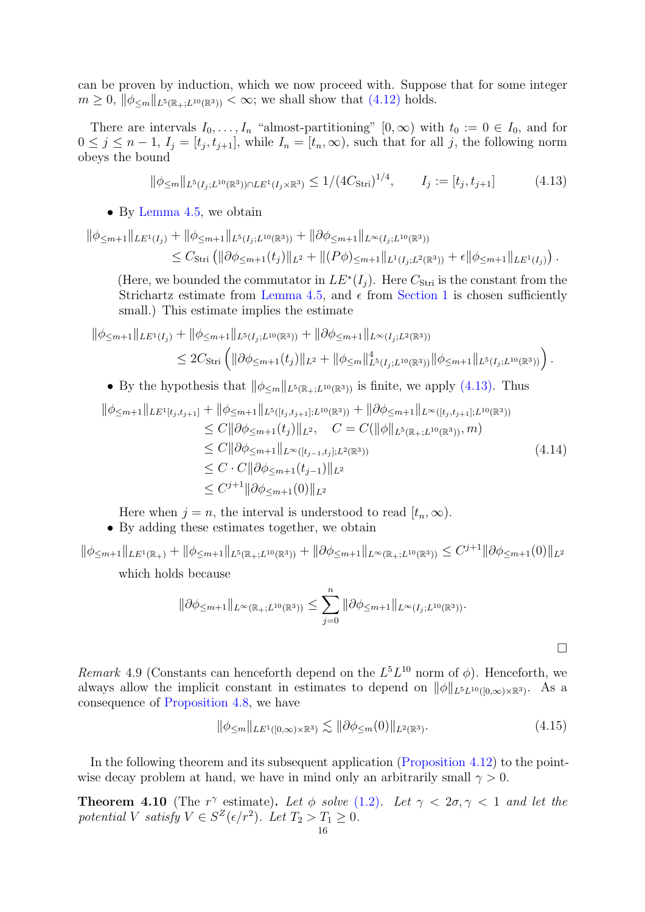can be proven by induction, which we now proceed with. Suppose that for some integer  $m \geq 0, \|\phi_{\leq m}\|_{L^{5}(\mathbb{R}_{+};L^{10}(\mathbb{R}^3))} < \infty$ ; we shall show that  $(4.12)$  holds.

There are intervals  $I_0, \ldots, I_n$  "almost-partitioning"  $[0, \infty)$  with  $t_0 := 0 \in I_0$ , and for  $0 \leq j \leq n-1$ ,  $I_j = [t_j, t_{j+1}]$ , while  $I_n = [t_n, \infty)$ , such that for all j, the following norm obeys the bound

<span id="page-15-1"></span>
$$
\|\phi_{\leq m}\|_{L^{5}(I_{j};L^{10}(\mathbb{R}^{3}))\cap LE^{1}(I_{j}\times\mathbb{R}^{3})} \leq 1/(4C_{\text{Stri}})^{1/4}, \qquad I_{j} := [t_{j}, t_{j+1}] \tag{4.13}
$$

• By [Lemma 4.5,](#page-14-2) we obtain

$$
\|\phi_{\leq m+1}\|_{LE^{1}(I_j)} + \|\phi_{\leq m+1}\|_{L^{5}(I_j;L^{10}(\mathbb{R}^3))} + \|\partial\phi_{\leq m+1}\|_{L^{\infty}(I_j;L^{10}(\mathbb{R}^3))}
$$
  
\n
$$
\leq C_{\text{Stri}} \left( \|\partial\phi_{\leq m+1}(t_j)\|_{L^{2}} + \|(P\phi)_{\leq m+1}\|_{L^{1}(I_j;L^{2}(\mathbb{R}^3))} + \epsilon \|\phi_{\leq m+1}\|_{LE^{1}(I_j)} \right).
$$

(Here, we bounded the commutator in  $LE^*(I_i)$ . Here  $C_{\text{Stri}}$  is the constant from the Strichartz estimate from [Lemma 4.5,](#page-14-2) and  $\epsilon$  from [Section 1](#page-2-1) is chosen sufficiently small.) This estimate implies the estimate

$$
\|\phi_{\leq m+1}\|_{LE^{1}(I_{j})} + \|\phi_{\leq m+1}\|_{L^{5}(I_{j};L^{10}(\mathbb{R}^{3}))} + \|\partial\phi_{\leq m+1}\|_{L^{\infty}(I_{j};L^{2}(\mathbb{R}^{3}))}
$$
  

$$
\leq 2C_{\text{Stri}} \left( \|\partial\phi_{\leq m+1}(t_{j})\|_{L^{2}} + \|\phi_{\leq m}\|_{L^{5}(I_{j};L^{10}(\mathbb{R}^{3}))}^{4} \|\phi_{\leq m+1}\|_{L^{5}(I_{j};L^{10}(\mathbb{R}^{3}))} \right).
$$

• By the hypothesis that  $\|\phi_{\leq m}\|_{L^5(\mathbb{R}_+;L^{10}(\mathbb{R}^3))}$  is finite, we apply [\(4.13\).](#page-15-1) Thus

$$
\|\phi_{\leq m+1}\|_{LE^{1}[t_{j},t_{j+1}]} + \|\phi_{\leq m+1}\|_{L^{5}([t_{j},t_{j+1}];L^{10}(\mathbb{R}^{3}))} + \|\partial\phi_{\leq m+1}\|_{L^{\infty}([t_{j},t_{j+1}];L^{10}(\mathbb{R}^{3}))}
$$
  
\n
$$
\leq C \|\partial\phi_{\leq m+1}(t_{j})\|_{L^{2}}, \quad C = C(\|\phi\|_{L^{5}(\mathbb{R}_{+};L^{10}(\mathbb{R}^{3}))}, m)
$$
  
\n
$$
\leq C \|\partial\phi_{\leq m+1}\|_{L^{\infty}([t_{j-1},t_{j}];L^{2}(\mathbb{R}^{3}))}
$$
  
\n
$$
\leq C \cdot C \|\partial\phi_{\leq m+1}(t_{j-1})\|_{L^{2}}
$$
  
\n
$$
\leq C^{j+1} \|\partial\phi_{\leq m+1}(0)\|_{L^{2}}
$$
\n(4.14)

Here when  $j = n$ , the interval is understood to read  $[t_n, \infty)$ .

• By adding these estimates together, we obtain

 $\|\phi_{\leq m+1}\|_{LE^1(\mathbb{R}_+)} + \|\phi_{\leq m+1}\|_{L^5(\mathbb{R}_+;L^{10}(\mathbb{R}^3))} + \|\partial \phi_{\leq m+1}\|_{L^\infty(\mathbb{R}_+;L^{10}(\mathbb{R}^3))} \leq C^{j+1} \|\partial \phi_{\leq m+1}(0)\|_{L^2}$ which holds because

$$
\|\partial \phi_{\leq m+1}\|_{L^{\infty}(\mathbb{R}_+;L^{10}(\mathbb{R}^3))} \leq \sum_{j=0}^n \|\partial \phi_{\leq m+1}\|_{L^{\infty}(I_j;L^{10}(\mathbb{R}^3))}.
$$

Remark 4.9 (Constants can henceforth depend on the  $L<sup>5</sup>L<sup>10</sup>$  norm of  $\phi$ ). Henceforth, we always allow the implicit constant in estimates to depend on  $\|\phi\|_{L^5L^{10}([0,\infty)\times\mathbb{R}^3)}$ . As a consequence of [Proposition 4.8,](#page-14-1) we have

<span id="page-15-2"></span>
$$
\|\phi_{\leq m}\|_{LE^1([0,\infty)\times\mathbb{R}^3)} \lesssim \|\partial\phi_{\leq m}(0)\|_{L^2(\mathbb{R}^3)}.\tag{4.15}
$$

 $\Box$ 

<span id="page-15-0"></span>In the following theorem and its subsequent application [\(Proposition 4.12\)](#page-19-0) to the pointwise decay problem at hand, we have in mind only an arbitrarily small  $\gamma > 0$ .

**Theorem 4.10** (The r<sup> $\gamma$ </sup> estimate). Let  $\phi$  solve [\(1.2\)](#page-1-0). Let  $\gamma < 2\sigma, \gamma < 1$  and let the potential V satisfy  $V \in S^Z(\epsilon/r^2)$ . Let  $T_2 > T_1 \geq 0$ .<br>16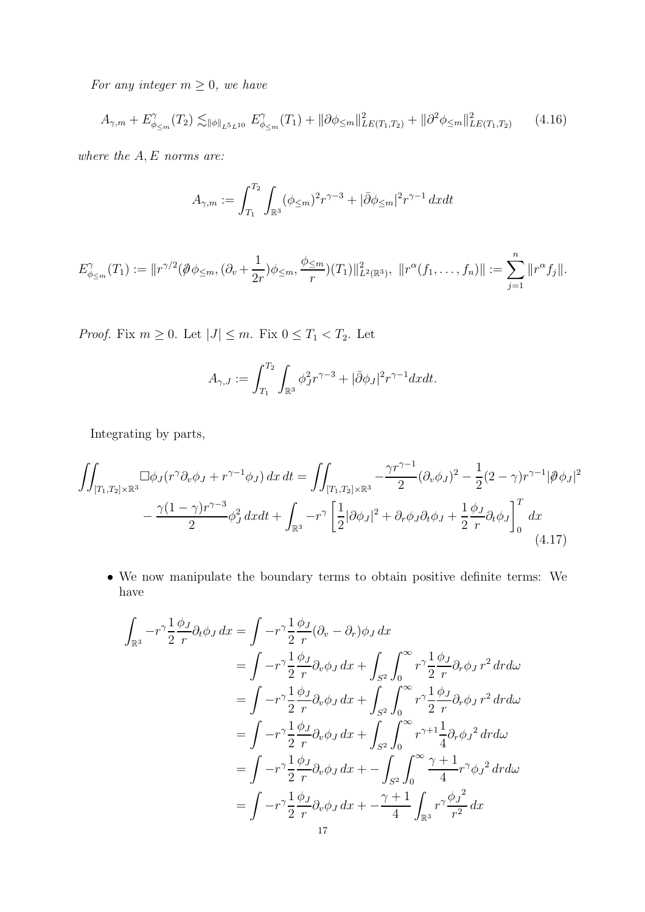For any integer  $m \geq 0$ , we have

$$
A_{\gamma,m} + E_{\phi_{\leq m}}^{\gamma}(T_2) \lesssim_{\|\phi\|_{L^5L^{10}}} E_{\phi_{\leq m}}^{\gamma}(T_1) + \|\partial\phi_{\leq m}\|_{LE(T_1,T_2)}^2 + \|\partial^2\phi_{\leq m}\|_{LE(T_1,T_2)}^2 \tag{4.16}
$$

where the  $A, E$  norms are:

$$
A_{\gamma,m} := \int_{T_1}^{T_2} \int_{\mathbb{R}^3} (\phi_{\leq m})^2 r^{\gamma - 3} + |\bar{\partial} \phi_{\leq m}|^2 r^{\gamma - 1} dx dt
$$

$$
E_{\phi_{\leq m}}^{\gamma}(T_1) := ||r^{\gamma/2}(\partial \phi_{\leq m}, (\partial_v + \frac{1}{2r})\phi_{\leq m}, \frac{\phi_{\leq m}}{r})(T_1)||_{L^2(\mathbb{R}^3)}^2, ||r^{\alpha}(f_1, \dots, f_n)|| := \sum_{j=1}^n ||r^{\alpha}f_j||.
$$

*Proof.* Fix  $m \geq 0$ . Let  $|J| \leq m$ . Fix  $0 \leq T_1 < T_2$ . Let

<span id="page-16-0"></span>
$$
A_{\gamma,J} := \int_{T_1}^{T_2} \int_{\mathbb{R}^3} \phi_J^2 r^{\gamma-3} + |\bar{\partial}\phi_J|^2 r^{\gamma-1} dx dt.
$$

Integrating by parts,

$$
\iint_{[T_1, T_2] \times \mathbb{R}^3} \Box \phi_J(r^{\gamma} \partial_v \phi_J + r^{\gamma - 1} \phi_J) \, dx \, dt = \iint_{[T_1, T_2] \times \mathbb{R}^3} -\frac{\gamma r^{\gamma - 1}}{2} (\partial_v \phi_J)^2 - \frac{1}{2} (2 - \gamma) r^{\gamma - 1} |\partial \phi_J|^2
$$

$$
- \frac{\gamma (1 - \gamma) r^{\gamma - 3}}{2} \phi_J^2 \, dx \, dt + \int_{\mathbb{R}^3} -r^{\gamma} \left[ \frac{1}{2} |\partial \phi_J|^2 + \partial_r \phi_J \partial_t \phi_J + \frac{1}{2} \frac{\phi_J}{r} \partial_t \phi_J \right]_0^T \, dx \tag{4.17}
$$

• We now manipulate the boundary terms to obtain positive definite terms: We have

$$
\int_{\mathbb{R}^3} -r^{\gamma} \frac{1}{2} \frac{\phi_J}{r} \partial_t \phi_J \, dx = \int -r^{\gamma} \frac{1}{2} \frac{\phi_J}{r} (\partial_v - \partial_r) \phi_J \, dx
$$
\n
$$
= \int -r^{\gamma} \frac{1}{2} \frac{\phi_J}{r} \partial_v \phi_J \, dx + \int_{S^2} \int_0^{\infty} r^{\gamma} \frac{1}{2} \frac{\phi_J}{r} \partial_r \phi_J \, r^2 \, dr d\omega
$$
\n
$$
= \int -r^{\gamma} \frac{1}{2} \frac{\phi_J}{r} \partial_v \phi_J \, dx + \int_{S^2} \int_0^{\infty} r^{\gamma} \frac{1}{2} \frac{\phi_J}{r} \partial_r \phi_J \, r^2 \, dr d\omega
$$
\n
$$
= \int -r^{\gamma} \frac{1}{2} \frac{\phi_J}{r} \partial_v \phi_J \, dx + \int_{S^2} \int_0^{\infty} r^{\gamma+1} \frac{1}{4} \partial_r \phi_J^2 \, dr d\omega
$$
\n
$$
= \int -r^{\gamma} \frac{1}{2} \frac{\phi_J}{r} \partial_v \phi_J \, dx + - \int_{S^2} \int_0^{\infty} \frac{\gamma+1}{4} r^{\gamma} \phi_J^2 \, dr d\omega
$$
\n
$$
= \int -r^{\gamma} \frac{1}{2} \frac{\phi_J}{r} \partial_v \phi_J \, dx + \frac{\gamma+1}{4} \int_{\mathbb{R}^3} r^{\gamma} \frac{\phi_J^2}{r^2} \, dx
$$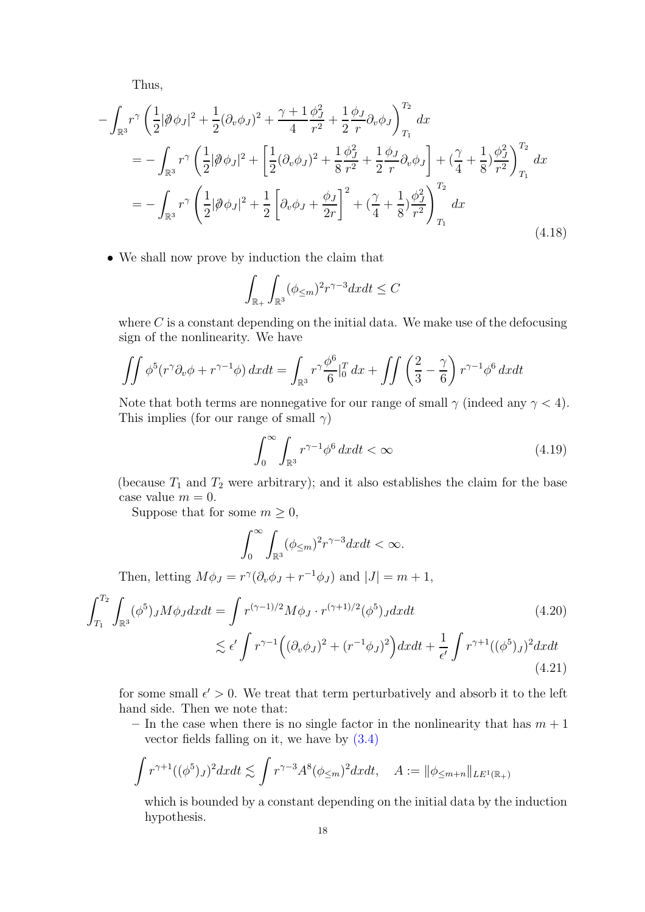Thus,

$$
-\int_{\mathbb{R}^3} r^{\gamma} \left( \frac{1}{2} |\partial \phi_J|^2 + \frac{1}{2} (\partial_v \phi_J)^2 + \frac{\gamma + 1}{4} \frac{\phi_J^2}{r^2} + \frac{1}{2} \frac{\phi_J}{r} \partial_v \phi_J \right)_{T_1}^{T_2} dx
$$
  
\n
$$
= -\int_{\mathbb{R}^3} r^{\gamma} \left( \frac{1}{2} |\partial \phi_J|^2 + \left[ \frac{1}{2} (\partial_v \phi_J)^2 + \frac{1}{8} \frac{\phi_J^2}{r^2} + \frac{1}{2} \frac{\phi_J}{r} \partial_v \phi_J \right] + \left( \frac{\gamma}{4} + \frac{1}{8} \right) \frac{\phi_J^2}{r^2} \right)_{T_1}^{T_2} dx
$$
  
\n
$$
= -\int_{\mathbb{R}^3} r^{\gamma} \left( \frac{1}{2} |\partial \phi_J|^2 + \frac{1}{2} \left[ \partial_v \phi_J + \frac{\phi_J}{2r} \right]_{T_1}^{T_2} + \left( \frac{\gamma}{4} + \frac{1}{8} \right) \frac{\phi_J^2}{r^2} \right)_{T_1}^{T_2} dx
$$
\n(4.18)

• We shall now prove by induction the claim that

<span id="page-17-2"></span>
$$
\int_{\mathbb{R}_+} \int_{\mathbb{R}^3} (\phi_{\leq m})^2 r^{\gamma - 3} dx dt \leq C
$$

where  $C$  is a constant depending on the initial data. We make use of the defocusing sign of the nonlinearity. We have

$$
\iint \phi^5(r^{\gamma}\partial_v\phi + r^{\gamma-1}\phi) dxdt = \int_{\mathbb{R}^3} r^{\gamma}\frac{\phi^6}{6} \Big|_0^T dx + \iint \left(\frac{2}{3} - \frac{\gamma}{6}\right) r^{\gamma-1}\phi^6 dxdt
$$

Note that both terms are nonnegative for our range of small  $\gamma$  (indeed any  $\gamma$  < 4). This implies (for our range of small  $\gamma$ )

<span id="page-17-0"></span>
$$
\int_0^\infty \int_{\mathbb{R}^3} r^{\gamma - 1} \phi^6 \, dx dt < \infty \tag{4.19}
$$

(because  $T_1$  and  $T_2$  were arbitrary); and it also establishes the claim for the base case value  $m = 0$ .

Suppose that for some  $m \geq 0$ ,

<span id="page-17-1"></span>
$$
\int_0^\infty \int_{\mathbb{R}^3} (\phi_{\leq m})^2 r^{\gamma - 3} dx dt < \infty.
$$

Then, letting  $M\phi_J = r^{\gamma}(\partial_v \phi_J + r^{-1}\phi_J)$  and  $|J| = m + 1$ ,

$$
\int_{T_1}^{T_2} \int_{\mathbb{R}^3} (\phi^5)_J M \phi_J dx dt = \int r^{(\gamma - 1)/2} M \phi_J \cdot r^{(\gamma + 1)/2} (\phi^5)_J dx dt \qquad (4.20)
$$
  

$$
\lesssim \epsilon' \int r^{\gamma - 1} \Big( (\partial_v \phi_J)^2 + (r^{-1} \phi_J)^2 \Big) dx dt + \frac{1}{\epsilon'} \int r^{\gamma + 1} ((\phi^5)_J)^2 dx dt \qquad (4.21)
$$

for some small  $\epsilon' > 0$ . We treat that term perturbatively and absorb it to the left hand side. Then we note that:

– In the case when there is no single factor in the nonlinearity that has  $m + 1$ vector fields falling on it, we have by [\(3.4\)](#page-10-0)

$$
\int r^{\gamma+1} (\phi^5)_J)^2 dx dt \lesssim \int r^{\gamma-3} A^8 (\phi_{\leq m})^2 dx dt, \quad A := \|\phi_{\leq m+n}\|_{LE^1(\mathbb{R}_+)}
$$

which is bounded by a constant depending on the initial data by the induction hypothesis.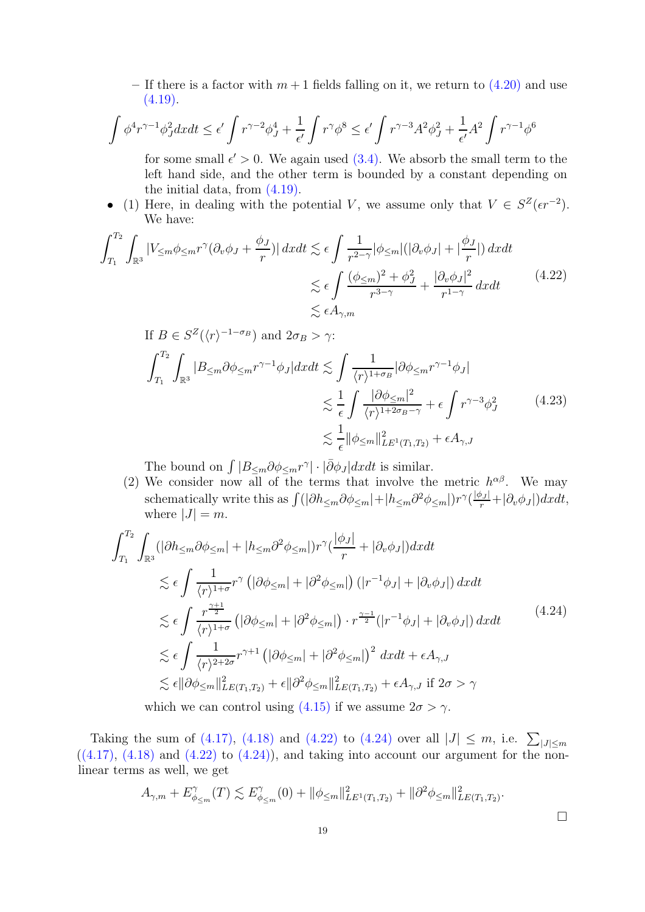– If there is a factor with  $m+1$  fields falling on it, we return to  $(4.20)$  and use  $(4.19).$ 

$$
\int \phi^4 r^{\gamma - 1} \phi_J^2 dx dt \le \epsilon' \int r^{\gamma - 2} \phi_J^4 + \frac{1}{\epsilon'} \int r^{\gamma} \phi^8 \le \epsilon' \int r^{\gamma - 3} A^2 \phi_J^2 + \frac{1}{\epsilon'} A^2 \int r^{\gamma - 1} \phi^6
$$

for some small  $\epsilon' > 0$ . We again used  $(3.4)$ . We absorb the small term to the left hand side, and the other term is bounded by a constant depending on the initial data, from [\(4.19\).](#page-17-0)

• (1) Here, in dealing with the potential V, we assume only that  $V \in S^Z(\epsilon r^{-2})$ . We have:

$$
\int_{T_1}^{T_2} \int_{\mathbb{R}^3} |V_{\leq m} \phi_{\leq m} r^{\gamma} (\partial_v \phi_J + \frac{\phi_J}{r})| \, dx dt \lesssim \epsilon \int \frac{1}{r^{2-\gamma}} |\phi_{\leq m}| (|\partial_v \phi_J| + |\frac{\phi_J}{r}|) \, dx dt
$$
  

$$
\lesssim \epsilon \int \frac{(\phi_{\leq m})^2 + \phi_J^2}{r^{3-\gamma}} + \frac{|\partial_v \phi_J|^2}{r^{1-\gamma}} \, dx dt
$$
  

$$
\lesssim \epsilon A_{\gamma,m}
$$
 (4.22)

<span id="page-18-0"></span>If 
$$
B \in S^Z(\langle r \rangle^{-1-\sigma_B})
$$
 and  $2\sigma_B > \gamma$ :  
\n
$$
\int_{T_1}^{T_2} \int_{\mathbb{R}^3} |B_{\leq m} \partial \phi_{\leq m} r^{\gamma-1} \phi_J| dx dt \lesssim \int \frac{1}{\langle r \rangle^{1+\sigma_B}} |\partial \phi_{\leq m} r^{\gamma-1} \phi_J|
$$
\n
$$
\lesssim \frac{1}{\epsilon} \int \frac{|\partial \phi_{\leq m}|^2}{\langle r \rangle^{1+2\sigma_B-\gamma}} + \epsilon \int r^{\gamma-3} \phi_J^2 \qquad (4.23)
$$
\n
$$
\lesssim \frac{1}{\epsilon} ||\phi_{\leq m}||^2_{LE^1(T_1, T_2)} + \epsilon A_{\gamma, J}
$$

The bound on  $\int |B_{\leq m}\partial \phi_{\leq m}r^{\gamma}| \cdot |\bar{\partial}\phi_J| dxdt$  is similar.

(2) We consider now all of the terms that involve the metric  $h^{\alpha\beta}$ . We may schematically write this as  $\int (|\partial h_{\leq m}\partial \phi_{\leq m}|+|h_{\leq m}\partial^2 \phi_{\leq m}|)r^{\gamma}(\frac{|\phi_J|}{r}+|\partial_v \phi_J|)dxdt$ , where  $|J| = m$ .

$$
\int_{T_1}^{T_2} \int_{\mathbb{R}^3} (|\partial h_{\leq m} \partial \phi_{\leq m}| + |h_{\leq m} \partial^2 \phi_{\leq m}|) r^{\gamma} (\frac{|\phi_J|}{r} + |\partial_v \phi_J|) dx dt
$$
  
\n
$$
\lesssim \epsilon \int \frac{1}{\langle r \rangle^{1+\sigma}} r^{\gamma} (|\partial \phi_{\leq m}| + |\partial^2 \phi_{\leq m}|) (|r^{-1}\phi_J| + |\partial_v \phi_J|) dx dt
$$
  
\n
$$
\lesssim \epsilon \int \frac{r^{\frac{\gamma+1}{2}}}{\langle r \rangle^{1+\sigma}} (|\partial \phi_{\leq m}| + |\partial^2 \phi_{\leq m}|) \cdot r^{\frac{\gamma-1}{2}} (|r^{-1}\phi_J| + |\partial_v \phi_J|) dx dt
$$
  
\n
$$
\lesssim \epsilon \int \frac{1}{\langle r \rangle^{2+2\sigma}} r^{\gamma+1} (|\partial \phi_{\leq m}| + |\partial^2 \phi_{\leq m}|)^2 dx dt + \epsilon A_{\gamma,J}
$$
  
\n
$$
\lesssim \epsilon ||\partial \phi_{\leq m}||_{LE(T_1,T_2)}^2 + \epsilon ||\partial^2 \phi_{\leq m}||_{LE(T_1,T_2)}^2 + \epsilon A_{\gamma,J} \text{ if } 2\sigma > \gamma
$$
  
\nwhich we can control using (4.15) if we assume  $2\sigma > \gamma$ .

Taking the sum of [\(4.17\),](#page-16-0) [\(4.18\)](#page-17-2) and [\(4.22\)](#page-18-0) to [\(4.24\)](#page-18-1) over all  $|J| \leq m$ , i.e.  $\sum_{|J| \leq m}$  $((4.17), (4.18)$  $((4.17), (4.18)$  $((4.17), (4.18)$  and  $(4.22)$  to  $(4.24)$ , and taking into account our argument for the nonlinear terms as well, we get

$$
A_{\gamma,m} + E_{\phi_{\leq m}}^{\gamma}(T) \lesssim E_{\phi_{\leq m}}^{\gamma}(0) + \|\phi_{\leq m}\|_{LE^{1}(T_1,T_2)}^{2} + \|\partial^{2}\phi_{\leq m}\|_{LE(T_1,T_2)}^{2}.
$$

<span id="page-18-1"></span> $\Box$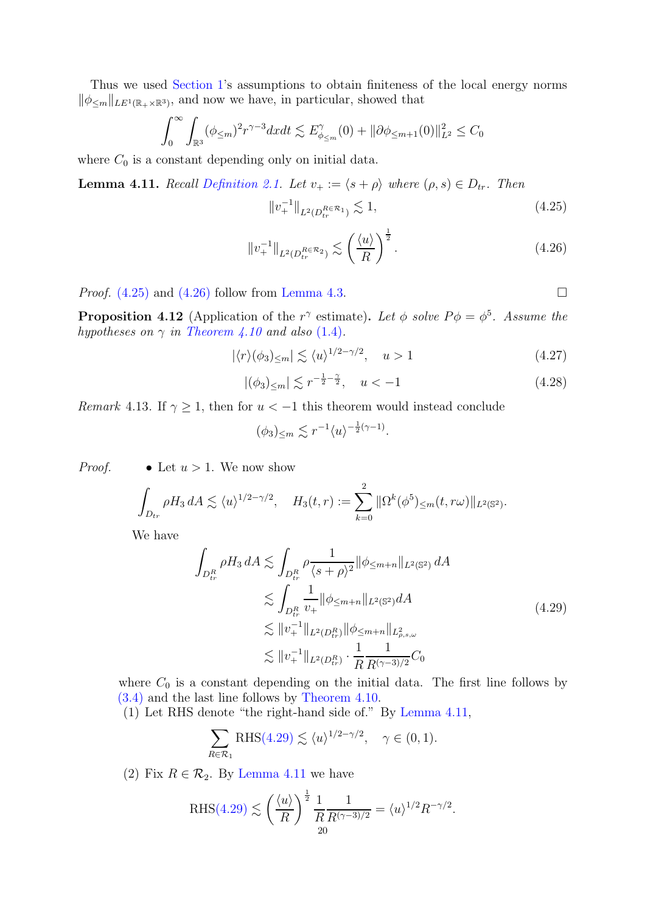Thus we used [Section 1'](#page-2-1)s assumptions to obtain finiteness of the local energy norms  $\|\phi_{\leq m}\|_{LE^1(\mathbb{R}_+\times\mathbb{R}^3)}$ , and now we have, in particular, showed that

$$
\int_0^{\infty} \int_{\mathbb{R}^3} (\phi_{\leq m})^2 r^{\gamma - 3} dx dt \lesssim E_{\phi_{\leq m}}^{\gamma}(0) + ||\partial \phi_{\leq m+1}(0)||_{L^2}^2 \leq C_0
$$

<span id="page-19-4"></span>where  $C_0$  is a constant depending only on initial data.

**Lemma 4.11.** Recall [Definition 2.1.](#page-9-1) Let  $v_+ := \langle s + \rho \rangle$  where  $(\rho, s) \in D_{tr}$ . Then

<span id="page-19-2"></span>
$$
||v_+^{-1}||_{L^2(D_{tr}^{R \in \mathcal{R}_1})} \lesssim 1,
$$
\n(4.25)

<span id="page-19-3"></span>
$$
\|v_+^{-1}\|_{L^2(D_{tr}^{R\in\mathcal{R}_2})} \lesssim \left(\frac{\langle u \rangle}{R}\right)^{\frac{1}{2}}.\tag{4.26}
$$

<span id="page-19-0"></span>*Proof.*  $(4.25)$  and  $(4.26)$  follow from [Lemma 4.3.](#page-13-0)

<span id="page-19-5"></span>

**Proposition 4.12** (Application of the r<sup> $\gamma$ </sup> estimate). Let  $\phi$  solve  $P\phi = \phi^5$ . Assume the hypotheses on  $\gamma$  in [Theorem 4.10](#page-15-0) and also [\(1.4\)](#page-2-4).

<span id="page-19-6"></span>
$$
|\langle r \rangle (\phi_3)_{\leq m}| \lesssim \langle u \rangle^{1/2 - \gamma/2}, \quad u > 1 \tag{4.27}
$$

$$
|(\phi_3)_{\leq m}| \lesssim r^{-\frac{1}{2} - \frac{\gamma}{2}}, \quad u < -1 \tag{4.28}
$$

<span id="page-19-1"></span>*Remark* 4.13. If  $\gamma \geq 1$ , then for  $u < -1$  this theorem would instead conclude

$$
(\phi_3)_{\leq m} \lesssim r^{-1} \langle u \rangle^{-\frac{1}{2}(\gamma - 1)}.
$$

*Proof.* • Let  $u > 1$ . We now show

$$
\int_{D_{tr}} \rho H_3 \, dA \lesssim \langle u \rangle^{1/2 - \gamma/2}, \quad H_3(t, r) := \sum_{k=0}^2 \|\Omega^k(\phi^5)_{\leq m}(t, r\omega)\|_{L^2(\mathbb{S}^2)}.
$$

We have

$$
\int_{D_{tr}^R} \rho H_3 \, dA \lesssim \int_{D_{tr}^R} \rho \frac{1}{\langle s + \rho \rangle^2} \|\phi_{\leq m+n} \|_{L^2(\mathbb{S}^2)} \, dA
$$
\n
$$
\lesssim \int_{D_{tr}^R} \frac{1}{v_+} \|\phi_{\leq m+n} \|_{L^2(\mathbb{S}^2)} \, dA
$$
\n
$$
\lesssim \|v_+^{-1}\|_{L^2(D_{tr}^R)} \|\phi_{\leq m+n} \|_{L^2_{\rho,s,\omega}}
$$
\n
$$
\lesssim \|v_+^{-1}\|_{L^2(D_{tr}^R)} \cdot \frac{1}{R} \frac{1}{R^{(\gamma-3)/2}} C_0
$$
\n(4.29)

where  $C_0$  is a constant depending on the initial data. The first line follows by [\(3.4\)](#page-10-0) and the last line follows by [Theorem 4.10.](#page-15-0)

(1) Let RHS denote "the right-hand side of." By [Lemma 4.11,](#page-19-4)

$$
\sum_{R \in \mathcal{R}_1} \text{RHS}(4.29) \lesssim \langle u \rangle^{1/2 - \gamma/2}, \quad \gamma \in (0, 1).
$$

(2) Fix  $R \in \mathcal{R}_2$ . By [Lemma 4.11](#page-19-4) we have

$$
\mathrm{RHS}(4.29) \lesssim \left(\frac{\langle u \rangle}{R}\right)^{\frac{1}{2}} \frac{1}{R} \frac{1}{R^{(\gamma - 3)/2}} = \langle u \rangle^{1/2} R^{-\gamma/2}.
$$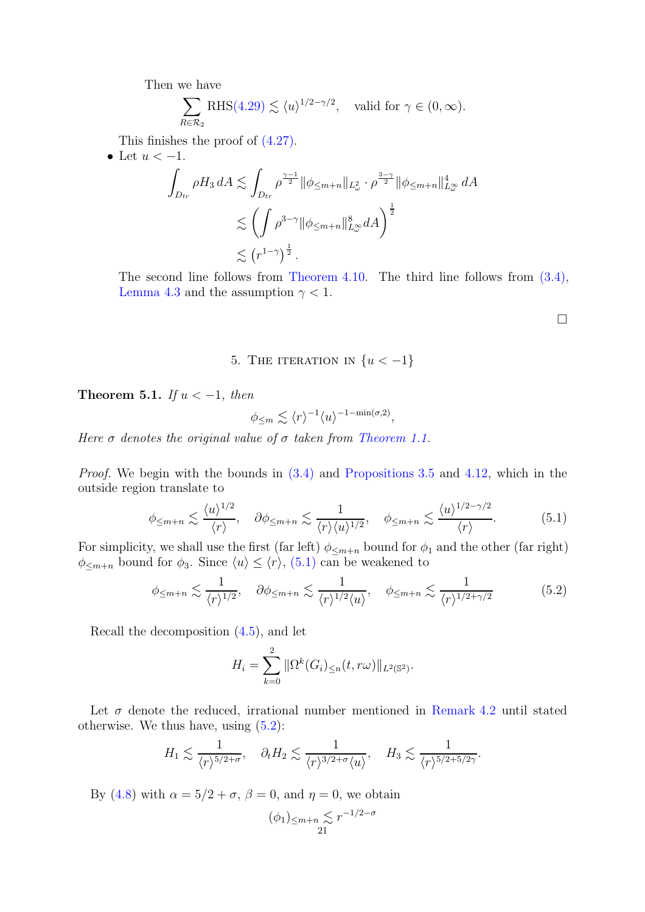Then we have

$$
\sum_{R \in \mathcal{R}_2} \text{RHS}(4.29) \lesssim \langle u \rangle^{1/2 - \gamma/2}, \text{ valid for } \gamma \in (0, \infty).
$$

This finishes the proof of [\(4.27\).](#page-19-6)

• Let  $u < -1$ .

$$
\int_{D_{tr}} \rho H_3 dA \lesssim \int_{D_{tr}} \rho^{\frac{\gamma-1}{2}} \|\phi_{\leq m+n}\|_{L^2_{\omega}} \cdot \rho^{\frac{3-\gamma}{2}} \|\phi_{\leq m+n}\|_{L^{\infty}_{\omega}}^4 dA
$$
  

$$
\lesssim \left(\int \rho^{3-\gamma} \|\phi_{\leq m+n}\|_{L^{\infty}_{\omega}}^8 dA\right)^{\frac{1}{2}}
$$
  

$$
\lesssim \left(r^{1-\gamma}\right)^{\frac{1}{2}}.
$$

The second line follows from [Theorem 4.10.](#page-15-0) The third line follows from [\(3.4\),](#page-10-0) [Lemma 4.3](#page-13-0) and the assumption  $\gamma < 1$ .

 $\Box$ 

# 5. THE ITERATION IN  $\{u < -1\}$

<span id="page-20-3"></span><span id="page-20-0"></span>Theorem 5.1. If  $u < -1$ , then

$$
\phi_{\leq m} \lesssim \langle r \rangle^{-1} \langle u \rangle^{-1 - \min(\sigma, 2)},
$$

Here  $\sigma$  denotes the original value of  $\sigma$  taken from [Theorem 1.1.](#page-2-0)

*Proof.* We begin with the bounds in  $(3.4)$  and [Propositions 3.5](#page-10-2) and [4.12,](#page-19-0) which in the outside region translate to

<span id="page-20-1"></span>
$$
\phi_{\leq m+n} \lesssim \frac{\langle u \rangle^{1/2}}{\langle r \rangle}, \quad \partial \phi_{\leq m+n} \lesssim \frac{1}{\langle r \rangle \langle u \rangle^{1/2}}, \quad \phi_{\leq m+n} \lesssim \frac{\langle u \rangle^{1/2 - \gamma/2}}{\langle r \rangle}.
$$
 (5.1)

For simplicity, we shall use the first (far left)  $\phi_{\leq m+n}$  bound for  $\phi_1$  and the other (far right)  $\phi_{\leq m+n}$  bound for  $\phi_3$ . Since  $\langle u \rangle \leq \langle r \rangle$ , [\(5.1\)](#page-20-1) can be weakened to

<span id="page-20-2"></span>
$$
\phi_{\leq m+n} \lesssim \frac{1}{\langle r \rangle^{1/2}}, \quad \partial \phi_{\leq m+n} \lesssim \frac{1}{\langle r \rangle^{1/2} \langle u \rangle}, \quad \phi_{\leq m+n} \lesssim \frac{1}{\langle r \rangle^{1/2 + \gamma/2}} \tag{5.2}
$$

Recall the decomposition [\(4.5\)](#page-12-0), and let

$$
H_i = \sum_{k=0}^{2} \|\Omega^k(G_i)_{\leq n}(t, r\omega)\|_{L^2(\mathbb{S}^2)}.
$$

Let  $\sigma$  denote the reduced, irrational number mentioned in [Remark 4.2](#page-12-2) until stated otherwise. We thus have, using  $(5.2)$ :

$$
H_1 \lesssim \frac{1}{\langle r \rangle^{5/2+\sigma}}, \quad \partial_t H_2 \lesssim \frac{1}{\langle r \rangle^{3/2+\sigma} \langle u \rangle}, \quad H_3 \lesssim \frac{1}{\langle r \rangle^{5/2+5/2\gamma}}.
$$

By [\(4.8\)](#page-13-4) with  $\alpha = 5/2 + \sigma$ ,  $\beta = 0$ , and  $\eta = 0$ , we obtain

$$
(\phi_1)_{\leq m+n} \mathop{}_{\textstyle \sim}^{\textstyle <} r^{-1/2-\sigma}
$$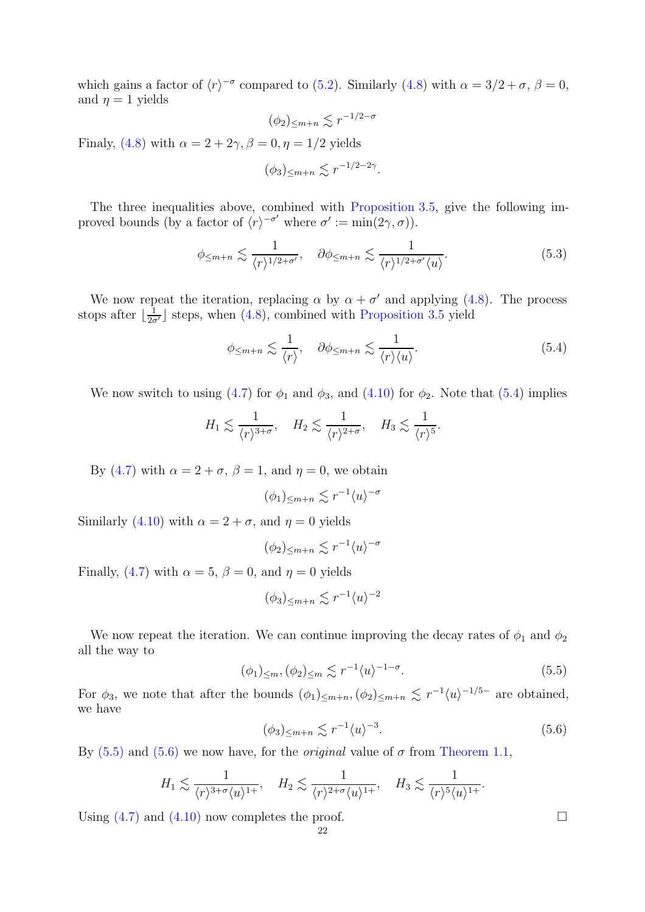which gains a factor of  $\langle r \rangle^{-\sigma}$  compared to [\(5.2\)](#page-20-2). Similarly [\(4.8\)](#page-13-4) with  $\alpha = 3/2 + \sigma$ ,  $\beta = 0$ , and  $\eta = 1$  yields

$$
(\phi_2)_{\leq m+n} \lesssim r^{-1/2-\sigma}
$$

Finaly, [\(4.8\)](#page-13-4) with  $\alpha = 2 + 2\gamma$ ,  $\beta = 0$ ,  $\eta = 1/2$  yields

$$
(\phi_3)_{\leq m+n} \lesssim r^{-1/2-2\gamma}.
$$

The three inequalities above, combined with [Proposition 3.5,](#page-10-2) give the following improved bounds (by a factor of  $\langle r \rangle^{-\sigma'}$  where  $\sigma' := \min(2\gamma, \sigma)$ ).

$$
\phi_{\leq m+n} \lesssim \frac{1}{\langle r \rangle^{1/2+\sigma'}}, \quad \partial \phi_{\leq m+n} \lesssim \frac{1}{\langle r \rangle^{1/2+\sigma'} \langle u \rangle}.
$$
 (5.3)

We now repeat the iteration, replacing  $\alpha$  by  $\alpha + \sigma'$  and applying [\(4.8\)](#page-13-4). The process stops after  $\lfloor \frac{1}{2\sigma'} \rfloor$  steps, when  $(4.8)$ , combined with [Proposition 3.5](#page-10-2) yield

<span id="page-21-0"></span>
$$
\phi_{\leq m+n} \lesssim \frac{1}{\langle r \rangle}, \quad \partial \phi_{\leq m+n} \lesssim \frac{1}{\langle r \rangle \langle u \rangle}.
$$
 (5.4)

We now switch to using [\(4.7\)](#page-13-2) for  $\phi_1$  and  $\phi_3$ , and [\(4.10\)](#page-14-5) for  $\phi_2$ . Note that [\(5.4\)](#page-21-0) implies

$$
H_1 \lesssim \frac{1}{\langle r \rangle^{3+\sigma}}, \quad H_2 \lesssim \frac{1}{\langle r \rangle^{2+\sigma}}, \quad H_3 \lesssim \frac{1}{\langle r \rangle^5}.
$$

By [\(4.7\)](#page-13-2) with  $\alpha = 2 + \sigma$ ,  $\beta = 1$ , and  $\eta = 0$ , we obtain

$$
(\phi_1)_{\leq m+n} \lesssim r^{-1} \langle u \rangle^{-\sigma}
$$

Similarly [\(4.10\)](#page-14-5) with  $\alpha = 2 + \sigma$ , and  $\eta = 0$  yields

$$
(\phi_2)_{\leq m+n} \lesssim r^{-1} \langle u \rangle^{-\sigma}
$$

Finally, [\(4.7\)](#page-13-2) with  $\alpha = 5$ ,  $\beta = 0$ , and  $\eta = 0$  yields

$$
(\phi_3)_{\leq m+n} \lesssim r^{-1} \langle u \rangle^{-2}
$$

We now repeat the iteration. We can continue improving the decay rates of  $\phi_1$  and  $\phi_2$ all the way to

<span id="page-21-1"></span>
$$
(\phi_1)_{\leq m}, (\phi_2)_{\leq m} \lesssim r^{-1} \langle u \rangle^{-1-\sigma}.
$$
\n(5.5)

For  $\phi_3$ , we note that after the bounds  $(\phi_1)_{\leq m+n}, (\phi_2)_{\leq m+n} \lesssim r^{-1} \langle u \rangle^{-1/5-}$  are obtained, we have

<span id="page-21-2"></span>
$$
(\phi_3)_{\leq m+n} \lesssim r^{-1} \langle u \rangle^{-3}.
$$
\n(5.6)

By  $(5.5)$  and  $(5.6)$  we now have, for the *original* value of  $\sigma$  from [Theorem 1.1,](#page-2-0)

$$
H_1 \lesssim \frac{1}{\langle r \rangle^{3+\sigma} \langle u \rangle^{1+}}, \quad H_2 \lesssim \frac{1}{\langle r \rangle^{2+\sigma} \langle u \rangle^{1+}}, \quad H_3 \lesssim \frac{1}{\langle r \rangle^5 \langle u \rangle^{1+}}.
$$

Using  $(4.7)$  and  $(4.10)$  now completes the proof.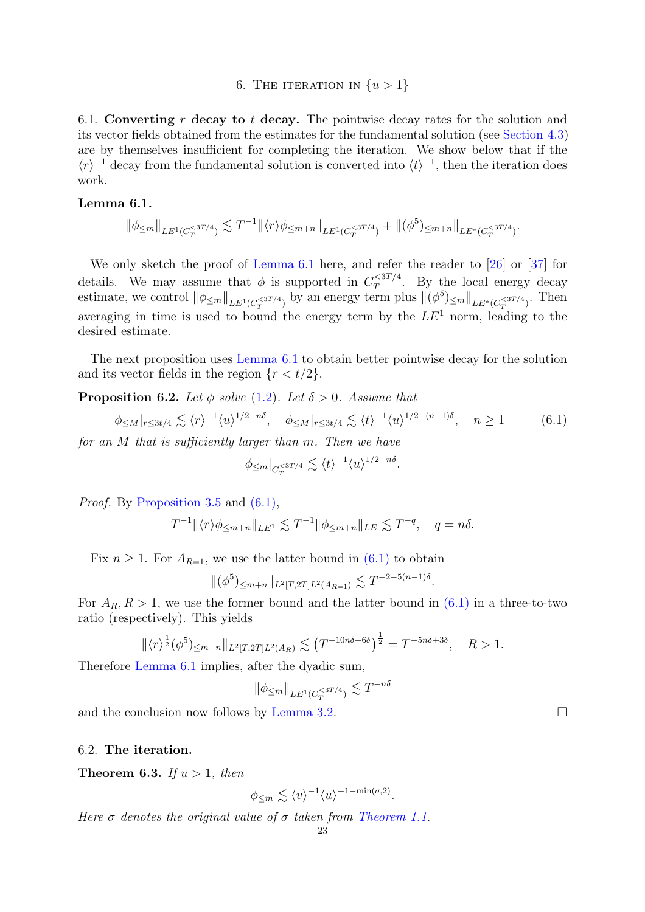### 6. THE ITERATION IN  $\{u > 1\}$

<span id="page-22-0"></span>6.1. Converting r decay to t decay. The pointwise decay rates for the solution and its vector fields obtained from the estimates for the fundamental solution (see [Section 4.3\)](#page-13-5) are by themselves insufficient for completing the iteration. We show below that if the  $\langle r \rangle^{-1}$  decay from the fundamental solution is converted into  $\langle t \rangle^{-1}$ , then the iteration does work.

### <span id="page-22-2"></span>Lemma 6.1.

$$
\|\phi_{\leq m}\|_{LE^1(C_T^{<3T/4})} \lesssim T^{-1} \|\langle r \rangle \phi_{\leq m+n}\|_{LE^1(C_T^{<3T/4})} + \|(\phi^5)_{\leq m+n}\|_{LE^*(C_T^{<3T/4})}
$$

We only sketch the proof of [Lemma 6.1](#page-22-2) here, and refer the reader to [\[26\]](#page-25-0) or [\[37\]](#page-25-7) for details. We may assume that  $\phi$  is supported in  $C_T^{<3T/4}$  $T^{\zeta_{3I/4}}$ . By the local energy decay estimate, we control  $\|\phi_{\leq m}\|_{LE^1(C_T^{<3T/4})}$  by an energy term plus  $\|(\phi^5)_{\leq m}\|_{LE^*(C_T^{<3T/4})}$ . Then averaging in time is used to bound the energy term by the  $LE^1$  norm, leading to the desired estimate.

<span id="page-22-1"></span>The next proposition uses [Lemma 6.1](#page-22-2) to obtain better pointwise decay for the solution and its vector fields in the region  $\{r < t/2\}$ .

**Proposition 6.2.** Let  $\phi$  solve [\(1.2\)](#page-1-0). Let  $\delta > 0$ . Assume that

<span id="page-22-3"></span>
$$
\phi_{\leq M}|_{r\leq 3t/4} \lesssim \langle r \rangle^{-1} \langle u \rangle^{1/2 - n\delta}, \quad \phi_{\leq M}|_{r\leq 3t/4} \lesssim \langle t \rangle^{-1} \langle u \rangle^{1/2 - (n-1)\delta}, \quad n \geq 1 \tag{6.1}
$$

.

for an M that is sufficiently larger than m. Then we have

$$
\phi_{\leq m}|_{C_T^{<3T/4}} \lesssim \langle t \rangle^{-1} \langle u \rangle^{1/2 - n\delta}
$$

Proof. By [Proposition 3.5](#page-10-2) and  $(6.1)$ ,

$$
T^{-1} \|\langle r \rangle \phi_{\leq m+n} \|_{LE^1} \lesssim T^{-1} \|\phi_{\leq m+n} \|_{LE} \lesssim T^{-q}, \quad q = n\delta.
$$

Fix  $n \geq 1$ . For  $A_{R=1}$ , we use the latter bound in [\(6.1\)](#page-22-3) to obtain

$$
\|(\phi^5)_{\leq m+n}\|_{L^2[T,2T]L^2(A_{R=1})} \lesssim T^{-2-5(n-1)\delta}.
$$

For  $A_R$ ,  $R > 1$ , we use the former bound and the latter bound in [\(6.1\)](#page-22-3) in a three-to-two ratio (respectively). This yields

$$
\|\langle r\rangle^{\frac{1}{2}}(\phi^5)_{\leq m+n}\|_{L^2[T,2T]L^2(A_R)} \lesssim (T^{-10n\delta+6\delta})^{\frac{1}{2}} = T^{-5n\delta+3\delta}, \quad R > 1.
$$

Therefore [Lemma 6.1](#page-22-2) implies, after the dyadic sum,

$$
\|\phi_{\leq m}\|_{LE^1(C_T^{<3T/4})} \lesssim T^{-n\delta}
$$

and the conclusion now follows by [Lemma 3.2.](#page-9-2)

#### 6.2. The iteration.

**Theorem 6.3.** If  $u > 1$ , then

$$
\phi_{\leq m} \lesssim \langle v \rangle^{-1} \langle u \rangle^{-1-\min(\sigma,2)}.
$$

Here  $\sigma$  denotes the original value of  $\sigma$  taken from [Theorem 1.1.](#page-2-0)

.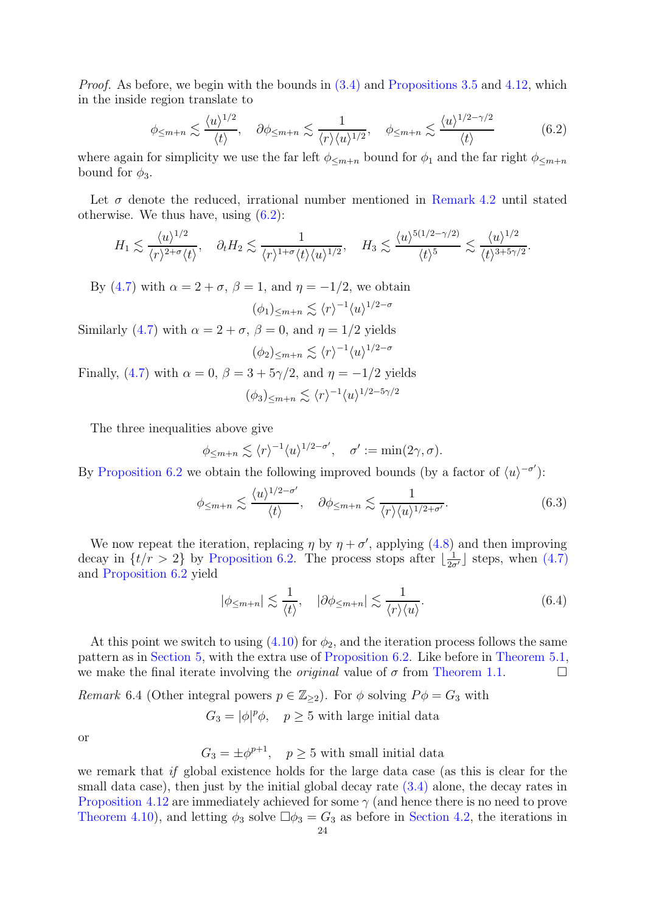*Proof.* As before, we begin with the bounds in  $(3.4)$  and [Propositions 3.5](#page-10-2) and [4.12,](#page-19-0) which in the inside region translate to

<span id="page-23-1"></span>
$$
\phi_{\leq m+n} \lesssim \frac{\langle u \rangle^{1/2}}{\langle t \rangle}, \quad \partial \phi_{\leq m+n} \lesssim \frac{1}{\langle r \rangle \langle u \rangle^{1/2}}, \quad \phi_{\leq m+n} \lesssim \frac{\langle u \rangle^{1/2 - \gamma/2}}{\langle t \rangle} \tag{6.2}
$$

where again for simplicity we use the far left  $\phi_{\leq m+n}$  bound for  $\phi_1$  and the far right  $\phi_{\leq m+n}$ bound for  $\phi_3$ .

Let  $\sigma$  denote the reduced, irrational number mentioned in [Remark 4.2](#page-12-2) until stated otherwise. We thus have, using  $(6.2)$ :

$$
H_1 \lesssim \frac{\langle u \rangle^{1/2}}{\langle r \rangle^{2+\sigma} \langle t \rangle}, \quad \partial_t H_2 \lesssim \frac{1}{\langle r \rangle^{1+\sigma} \langle t \rangle \langle u \rangle^{1/2}}, \quad H_3 \lesssim \frac{\langle u \rangle^{5(1/2-\gamma/2)}}{\langle t \rangle^5} \lesssim \frac{\langle u \rangle^{1/2}}{\langle t \rangle^{3+5\gamma/2}}.
$$

By [\(4.7\)](#page-13-2) with  $\alpha = 2 + \sigma$ ,  $\beta = 1$ , and  $\eta = -1/2$ , we obtain

$$
(\phi_1)_{\leq m+n} \lesssim \langle r \rangle^{-1} \langle u \rangle^{1/2-\sigma}
$$

Similarly [\(4.7\)](#page-13-2) with  $\alpha = 2 + \sigma$ ,  $\beta = 0$ , and  $\eta = 1/2$  yields

$$
(\phi_2)_{\leq m+n} \lesssim \langle r \rangle^{-1} \langle u \rangle^{1/2-\sigma}
$$

Finally, [\(4.7\)](#page-13-2) with  $\alpha = 0$ ,  $\beta = 3 + 5\gamma/2$ , and  $\eta = -1/2$  yields  $(\phi_3)_{\leq m+n} \lesssim \langle r \rangle^{-1} \langle u \rangle^{1/2-5\gamma/2}$ 

The three inequalities above give

$$
\phi_{\leq m+n} \lesssim \langle r \rangle^{-1} \langle u \rangle^{1/2-\sigma'}, \quad \sigma' := \min(2\gamma, \sigma).
$$

By [Proposition 6.2](#page-22-1) we obtain the following improved bounds (by a factor of  $\langle u \rangle^{-\sigma'}$ ):

$$
\phi_{\leq m+n} \lesssim \frac{\langle u \rangle^{1/2 - \sigma'}}{\langle t \rangle}, \quad \partial \phi_{\leq m+n} \lesssim \frac{1}{\langle r \rangle \langle u \rangle^{1/2 + \sigma'}}.
$$
\n(6.3)

We now repeat the iteration, replacing  $\eta$  by  $\eta + \sigma'$ , applying [\(4.8\)](#page-13-4) and then improving decay in  $\{t/r > 2\}$  by [Proposition 6.2.](#page-22-1) The process stops after  $\lfloor \frac{1}{2\sigma'} \rfloor$  steps, when  $(4.7)$ and [Proposition 6.2](#page-22-1) yield

$$
|\phi_{\leq m+n}| \lesssim \frac{1}{\langle t \rangle}, \quad |\partial \phi_{\leq m+n}| \lesssim \frac{1}{\langle r \rangle \langle u \rangle}.
$$
 (6.4)

At this point we switch to using  $(4.10)$  for  $\phi_2$ , and the iteration process follows the same pattern as in [Section 5,](#page-20-0) with the extra use of [Proposition 6.2.](#page-22-1) Like before in [Theorem 5.1,](#page-20-3) we make the final iterate involving the *original* value of  $\sigma$  from [Theorem 1.1.](#page-2-0)

<span id="page-23-0"></span>Remark 6.4 (Other integral powers  $p \in \mathbb{Z}_{\geq 2}$ ). For  $\phi$  solving  $P\phi = G_3$  with

$$
G_3 = |\phi|^p \phi, \quad p \ge 5 \text{ with large initial data}
$$

or

 $G_3 = \pm \phi^{p+1}$ ,  $p \ge 5$  with small initial data

we remark that if global existence holds for the large data case (as this is clear for the small data case), then just by the initial global decay rate  $(3.4)$  alone, the decay rates in [Proposition 4.12](#page-19-0) are immediately achieved for some  $\gamma$  (and hence there is no need to prove [Theorem 4.10\)](#page-15-0), and letting  $\phi_3$  solve  $\Box \phi_3 = G_3$  as before in [Section 4.2,](#page-12-3) the iterations in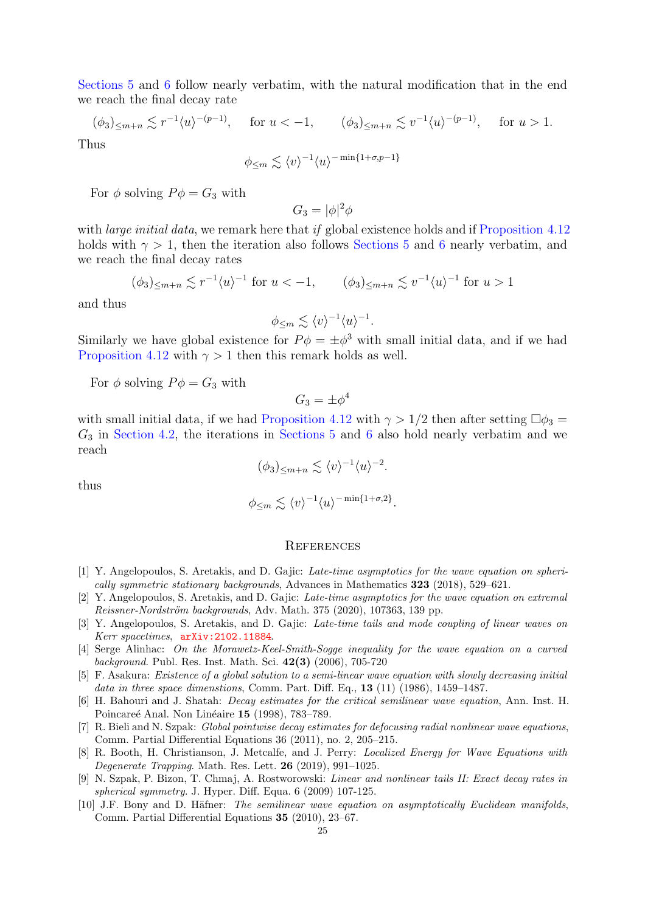[Sections 5](#page-20-0) and [6](#page-22-0) follow nearly verbatim, with the natural modification that in the end we reach the final decay rate

 $(\phi_3)_{\leq m+n} \lesssim r^{-1} \langle u \rangle^{-(p-1)}, \quad \text{for } u < -1, \quad (\phi_3)_{\leq m+n} \lesssim v^{-1} \langle u \rangle^{-(p-1)}, \quad \text{for } u > 1.$ Thus

 $\phi_{\leq m} \lesssim \langle v \rangle^{-1} \langle u \rangle^{-\min\{1+\sigma,p-1\}}$ 

For  $\phi$  solving  $P\phi = G_3$  with

$$
G_3 = |\phi|^2 \phi
$$

with *large initial data*, we remark here that if global existence holds and if [Proposition 4.12](#page-19-0) holds with  $\gamma > 1$ , then the iteration also follows [Sections 5](#page-20-0) and [6](#page-22-0) nearly verbatim, and we reach the final decay rates

$$
(\phi_3)_{\leq m+n} \lesssim r^{-1} \langle u \rangle^{-1} \text{ for } u < -1, \qquad (\phi_3)_{\leq m+n} \lesssim v^{-1} \langle u \rangle^{-1} \text{ for } u > 1
$$

and thus

$$
\phi_{\leq m} \lesssim \langle v \rangle^{-1} \langle u \rangle^{-1}.
$$

Similarly we have global existence for  $P\phi = \pm \phi^3$  with small initial data, and if we had [Proposition 4.12](#page-19-0) with  $\gamma > 1$  then this remark holds as well.

For  $\phi$  solving  $P\phi = G_3$  with

 $G_3 = \pm \phi^4$ 

with small initial data, if we had [Proposition 4.12](#page-19-0) with  $\gamma > 1/2$  then after setting  $\Box \phi_3 =$  $G_3$  in [Section 4.2,](#page-12-3) the iterations in [Sections 5](#page-20-0) and [6](#page-22-0) also hold nearly verbatim and we reach

$$
(\phi_3)_{\leq m+n} \lesssim \langle v \rangle^{-1} \langle u \rangle^{-2}.
$$

thus

$$
\phi_{\leq m} \lesssim \langle v \rangle^{-1} \langle u \rangle^{-\min\{1+\sigma,2\}}.
$$

#### **REFERENCES**

- <span id="page-24-6"></span>[1] Y. Angelopoulos, S. Aretakis, and D. Gajic: Late-time asymptotics for the wave equation on spherically symmetric stationary backgrounds, Advances in Mathematics 323 (2018), 529–621.
- <span id="page-24-7"></span>[2] Y. Angelopoulos, S. Aretakis, and D. Gajic: Late-time asymptotics for the wave equation on extremal Reissner-Nordström backgrounds, Adv. Math. 375 (2020), 107363, 139 pp.
- <span id="page-24-2"></span>[3] Y. Angelopoulos, S. Aretakis, and D. Gajic: Late-time tails and mode coupling of linear waves on Kerr spacetimes, [arXiv:2102.11884](http://arxiv.org/abs/2102.11884).
- <span id="page-24-3"></span>[4] Serge Alinhac: On the Morawetz-Keel-Smith-Sogge inequality for the wave equation on a curved background. Publ. Res. Inst. Math. Sci. 42(3) (2006), 705-720
- <span id="page-24-9"></span>[5] F. Asakura: Existence of a global solution to a semi-linear wave equation with slowly decreasing initial data in three space dimenstions, Comm. Part. Diff. Eq.,  $13$  (11) (1986), 1459–1487.
- <span id="page-24-0"></span>[6] H. Bahouri and J. Shatah: Decay estimates for the critical semilinear wave equation, Ann. Inst. H. Poincareé Anal. Non Linéaire 15 (1998), 783–789.
- <span id="page-24-1"></span>[7] R. Bieli and N. Szpak: Global pointwise decay estimates for defocusing radial nonlinear wave equations, Comm. Partial Differential Equations 36 (2011), no. 2, 205–215.
- <span id="page-24-5"></span>[8] R. Booth, H. Christianson, J. Metcalfe, and J. Perry: Localized Energy for Wave Equations with Degenerate Trapping. Math. Res. Lett. 26 (2019), 991–1025.
- <span id="page-24-8"></span>[9] N. Szpak, P. Bizon, T. Chmaj, A. Rostworowski: Linear and nonlinear tails II: Exact decay rates in spherical symmetry. J. Hyper. Diff. Equa. 6 (2009) 107-125.
- <span id="page-24-4"></span>[10] J.F. Bony and D. Häfner: The semilinear wave equation on asymptotically Euclidean manifolds, Comm. Partial Differential Equations 35 (2010), 23–67.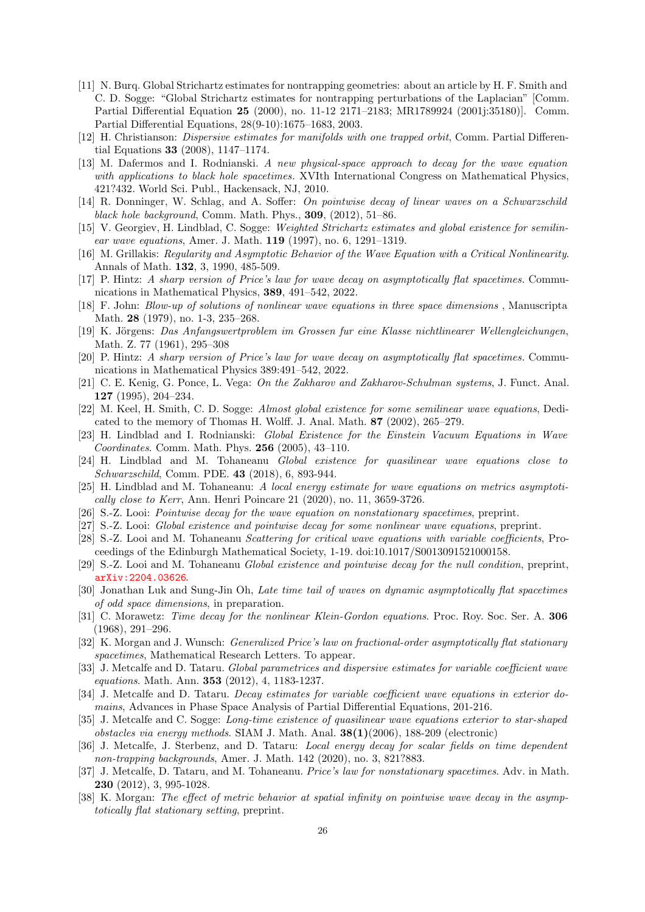- <span id="page-25-14"></span>[11] N. Burq. Global Strichartz estimates for nontrapping geometries: about an article by H. F. Smith and C. D. Sogge: "Global Strichartz estimates for nontrapping perturbations of the Laplacian" [Comm. Partial Differential Equation 25 (2000), no. 11-12 2171–2183; MR1789924 (2001j:35180)]. Comm. Partial Differential Equations, 28(9-10):1675–1683, 2003.
- <span id="page-25-16"></span>[12] H. Christianson: Dispersive estimates for manifolds with one trapped orbit, Comm. Partial Differential Equations 33 (2008), 1147–1174.
- <span id="page-25-21"></span>[13] M. Dafermos and I. Rodnianski. A new physical-space approach to decay for the wave equation with applications to black hole spacetimes. XVIth International Congress on Mathematical Physics, 421?432. World Sci. Publ., Hackensack, NJ, 2010.
- <span id="page-25-5"></span><span id="page-25-3"></span>[14] R. Donninger, W. Schlag, and A. Soffer: On pointwise decay of linear waves on a Schwarzschild black hole background, Comm. Math. Phys.,  $309$ ,  $(2012)$ ,  $51-86$ .
- [15] V. Georgiev, H. Lindblad, C. Sogge: Weighted Strichartz estimates and global existence for semilinear wave equations, Amer. J. Math. 119 (1997), no. 6, 1291–1319.
- <span id="page-25-17"></span><span id="page-25-1"></span>[16] M. Grillakis: Regularity and Asymptotic Behavior of the Wave Equation with a Critical Nonlinearity. Annals of Math. 132, 3, 1990, 485-509.
- <span id="page-25-4"></span>[17] P. Hintz: A sharp version of Price's law for wave decay on asymptotically flat spacetimes. Communications in Mathematical Physics, 389, 491–542, 2022.
- [18] F. John: Blow-up of solutions of nonlinear wave equations in three space dimensions , Manuscripta Math. 28 (1979), no. 1-3, 235–268.
- <span id="page-25-2"></span>[19] K. Jörgens: Das Anfangswertproblem im Grossen fur eine Klasse nichtlinearer Wellengleichungen, Math. Z. 77 (1961), 295–308
- <span id="page-25-6"></span>[20] P. Hintz: A sharp version of Price's law for wave decay on asymptotically flat spacetimes. Communications in Mathematical Physics 389:491–542, 2022.
- <span id="page-25-10"></span>[21] C. E. Kenig, G. Ponce, L. Vega: On the Zakharov and Zakharov-Schulman systems, J. Funct. Anal. 127 (1995), 204–234.
- <span id="page-25-11"></span>[22] M. Keel, H. Smith, C. D. Sogge: Almost global existence for some semilinear wave equations, Dedicated to the memory of Thomas H. Wolff. J. Anal. Math. 87 (2002), 265–279.
- [23] H. Lindblad and I. Rodnianski: Global Existence for the Einstein Vacuum Equations in Wave Coordinates. Comm. Math. Phys. 256 (2005), 43–110.
- <span id="page-25-24"></span>[24] H. Lindblad and M. Tohaneanu Global existence for quasilinear wave equations close to Schwarzschild, Comm. PDE. 43 (2018), 6, 893-944.
- <span id="page-25-18"></span>[25] H. Lindblad and M. Tohaneanu: A local energy estimate for wave equations on metrics asymptotically close to Kerr, Ann. Henri Poincare 21 (2020), no. 11, 3659-3726.
- <span id="page-25-23"></span><span id="page-25-0"></span>[26] S.-Z. Looi: Pointwise decay for the wave equation on nonstationary spacetimes, preprint.
- <span id="page-25-20"></span>[27] S.-Z. Looi: Global existence and pointwise decay for some nonlinear wave equations, preprint.
- [28] S.-Z. Looi and M. Tohaneanu Scattering for critical wave equations with variable coefficients, Proceedings of the Edinburgh Mathematical Society, 1-19. doi:10.1017/S0013091521000158.
- <span id="page-25-25"></span><span id="page-25-22"></span>[29] S.-Z. Looi and M. Tohaneanu Global existence and pointwise decay for the null condition, preprint, [arXiv:2204.03626](http://arxiv.org/abs/2204.03626).
- [30] Jonathan Luk and Sung-Jin Oh, Late time tail of waves on dynamic asymptotically flat spacetimes of odd space dimensions, in preparation.
- <span id="page-25-9"></span>[31] C. Morawetz: *Time decay for the nonlinear Klein-Gordon equations.* Proc. Roy. Soc. Ser. A. 306 (1968), 291–296.
- <span id="page-25-19"></span>[32] K. Morgan and J. Wunsch: Generalized Price's law on fractional-order asymptotically flat stationary spacetimes, Mathematical Research Letters. To appear.
- <span id="page-25-8"></span>[33] J. Metcalfe and D. Tataru. Global parametrices and dispersive estimates for variable coefficient wave equations. Math. Ann. 353 (2012), 4, 1183-1237.
- <span id="page-25-13"></span>[34] J. Metcalfe and D. Tataru. Decay estimates for variable coefficient wave equations in exterior domains, Advances in Phase Space Analysis of Partial Differential Equations, 201-216.
- <span id="page-25-12"></span>[35] J. Metcalfe and C. Sogge: Long-time existence of quasilinear wave equations exterior to star-shaped obstacles via energy methods. SIAM J. Math. Anal.  $38(1)(2006)$ , 188-209 (electronic)
- <span id="page-25-15"></span>[36] J. Metcalfe, J. Sterbenz, and D. Tataru: Local energy decay for scalar fields on time dependent non-trapping backgrounds, Amer. J. Math. 142 (2020), no. 3, 821?883.
- <span id="page-25-7"></span>[37] J. Metcalfe, D. Tataru, and M. Tohaneanu. Price's law for nonstationary spacetimes. Adv. in Math. 230 (2012), 3, 995-1028.
- [38] K. Morgan: The effect of metric behavior at spatial infinity on pointwise wave decay in the asymptotically flat stationary setting, preprint.